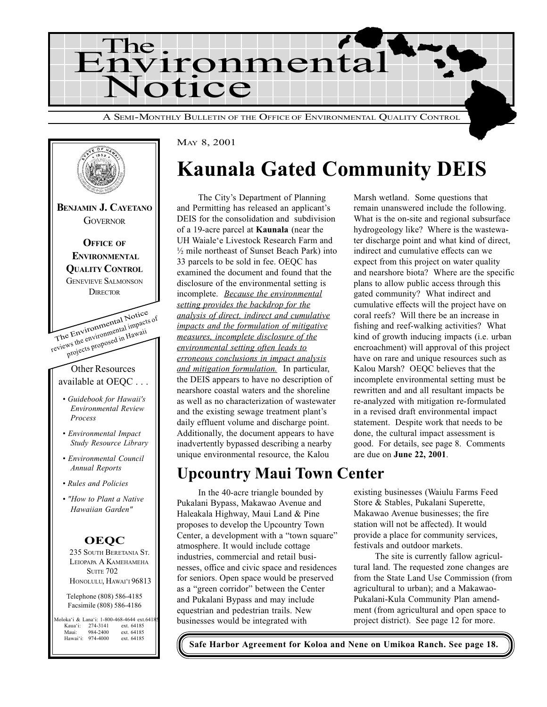



## Kaunala Gated Community DEIS

The City's Department of Planning and Permitting has released an applicant's DEIS for the consolidation and subdivision of a 19-acre parcel at Kaunala (near the UH Waiale'e Livestock Research Farm and ½ mile northeast of Sunset Beach Park) into 33 parcels to be sold in fee. OEQC has examined the document and found that the disclosure of the environmental setting is incomplete. Because the environmental setting provides the backdrop for the analysis of direct, indirect and cumulative impacts and the formulation of mitigative measures, incomplete disclosure of the environmental setting often leads to erroneous conclusions in impact analysis and mitigation formulation. In particular, the DEIS appears to have no description of nearshore coastal waters and the shoreline as well as no characterization of wastewater and the existing sewage treatment plant's daily effluent volume and discharge point. Additionally, the document appears to have inadvertently bypassed describing a nearby unique environmental resource, the Kalou

### Upcountry Maui Town Center

In the 40-acre triangle bounded by Pukalani Bypass, Makawao Avenue and Haleakala Highway, Maui Land & Pine proposes to develop the Upcountry Town Center, a development with a "town square" atmosphere. It would include cottage industries, commercial and retail businesses, office and civic space and residences for seniors. Open space would be preserved as a "green corridor" between the Center and Pukalani Bypass and may include equestrian and pedestrian trails. New businesses would be integrated with

Marsh wetland. Some questions that remain unanswered include the following. What is the on-site and regional subsurface hydrogeology like? Where is the wastewater discharge point and what kind of direct, indirect and cumulative effects can we expect from this project on water quality and nearshore biota? Where are the specific plans to allow public access through this gated community? What indirect and cumulative effects will the project have on coral reefs? Will there be an increase in fishing and reef-walking activities? What kind of growth inducing impacts (i.e. urban encroachment) will approval of this project have on rare and unique resources such as Kalou Marsh? OEQC believes that the incomplete environmental setting must be rewritten and and all resultant impacts be re-analyzed with mitigation re-formulated in a revised draft environmental impact statement. Despite work that needs to be done, the cultural impact assessment is good. For details, see page 8. Comments are due on June 22, 2001.

existing businesses (Waiulu Farms Feed Store & Stables, Pukalani Superette, Makawao Avenue businesses; the fire station will not be affected). It would provide a place for community services, festivals and outdoor markets.

The site is currently fallow agricultural land. The requested zone changes are from the State Land Use Commission (from agricultural to urban); and a Makawao-Pukalani-Kula Community Plan amendment (from agricultural and open space to project district). See page 12 for more.

Safe Harbor Agreement for Koloa and Nene on Umikoa Ranch. See page 18.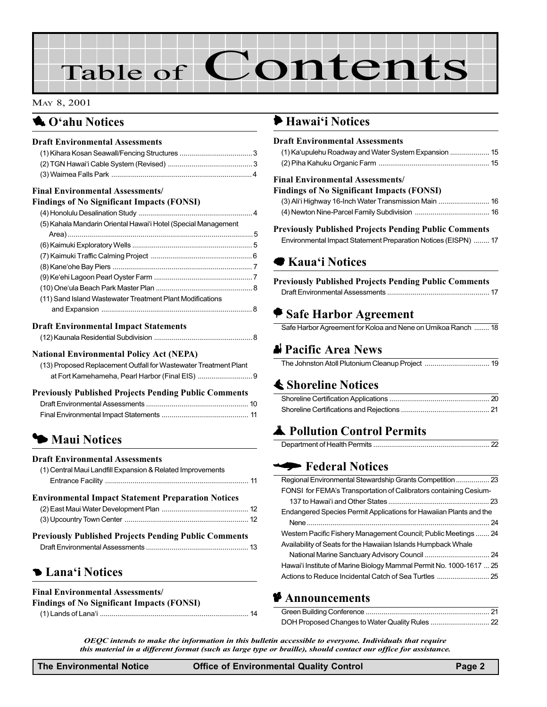# Table of Contents

#### MAY 8, 2001

#### **4.** O'ahu Notices

#### Draft Environmental Assessments

| <b>Final Environmental Assessments/</b>                          |  |
|------------------------------------------------------------------|--|
| <b>Findings of No Significant Impacts (FONSI)</b>                |  |
|                                                                  |  |
| (5) Kahala Mandarin Oriental Hawai'i Hotel (Special Management   |  |
|                                                                  |  |
|                                                                  |  |
|                                                                  |  |
|                                                                  |  |
|                                                                  |  |
|                                                                  |  |
| (11) Sand Island Wastewater Treatment Plant Modifications        |  |
|                                                                  |  |
| <b>Draft Environmental Impact Statements</b>                     |  |
|                                                                  |  |
| <b>National Environmental Policy Act (NEPA)</b>                  |  |
| (13) Proposed Replacement Outfall for Wastewater Treatment Plant |  |
| at Fort Kamehameha, Pearl Harbor (Final EIS)  9                  |  |
|                                                                  |  |
| <b>Previously Published Projects Pending Public Comments</b>     |  |
|                                                                  |  |
|                                                                  |  |

#### $\blacktriangleright$  Maui Notices

#### Draft Environmental Assessments

| <b>Environmental Imnact Statement Prenaration Notices</b>  |  |
|------------------------------------------------------------|--|
|                                                            |  |
| (1) Central Maui Landfill Expansion & Related Improvements |  |

| <b>Previously Published Projects Pending Public Comments</b> |  |
|--------------------------------------------------------------|--|
|                                                              |  |

#### **5 Lana'i Notices**

#### Final Environmental Assessments/

Findings of No Significant Impacts (FONSI)

[\(1\) Lands of Lanai ............................................................................ 14](#page-13-0)

#### Hawai'i Notices

| <b>Draft Environmental Assessments</b>                         |  |
|----------------------------------------------------------------|--|
| (1) Ka'upulehu Roadway and Water System Expansion  15          |  |
|                                                                |  |
| <b>Final Environmental Assessments/</b>                        |  |
| <b>Findings of No Significant Impacts (FONSI)</b>              |  |
| (3) Ali'i Highway 16-Inch Water Transmission Main  16          |  |
|                                                                |  |
| <b>Previously Published Projects Pending Public Comments</b>   |  |
| Environmental Impact Statement Preparation Notices (EISPN)  17 |  |
|                                                                |  |
| <b>■ Kaua</b> 'i Notices                                       |  |
|                                                                |  |
| <b>Previously Published Projects Pending Public Comments</b>   |  |
|                                                                |  |
| $\blacktriangleright$ Safe Harbor Agreement                    |  |
| Safe Harbor Agreement for Koloa and Nene on Umikoa Ranch  18   |  |
| la Pacific Area News                                           |  |
|                                                                |  |
| <b>≰ Shoreline Notices</b>                                     |  |
|                                                                |  |

#### Department of Health Permits ........................................................... 22

#### **Federal Notices**

| Regional Environmental Stewardship Grants Competition  23           |
|---------------------------------------------------------------------|
| FONSI for FEMA's Transportation of Calibrators containing Cesium-   |
|                                                                     |
| Endangered Species Permit Applications for Hawaiian Plants and the  |
|                                                                     |
| Western Pacific Fishery Management Council; Public Meetings  24     |
| Availability of Seats for the Hawaiian Islands Humpback Whale       |
|                                                                     |
| Hawai'i Institute of Marine Biology Mammal Permit No. 1000-1617  25 |
|                                                                     |

#### **P** Announcements

OEQC intends to make the information in this bulletin accessible to everyone. Individuals that require this material in a different format (such as large type or braille), should contact our office for assistance.

| <b>Office of Environmental Q</b> |
|----------------------------------|
|                                  |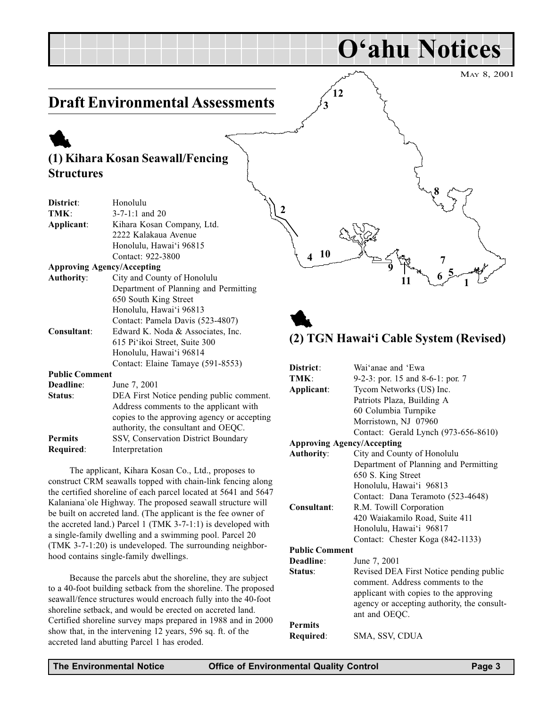### <span id="page-2-0"></span>Draft Environmental Assessments

### 1 (1) Kihara Kosan Seawall/Fencing **Structures**

| District:             | Ŋ<br>Honolulu                               |
|-----------------------|---------------------------------------------|
| TMK:                  | $3 - 7 - 1:1$ and 20                        |
| Applicant:            | Kihara Kosan Company, Ltd.                  |
|                       | 2222 Kalakaua Avenue                        |
|                       | Honolulu, Hawai'i 96815                     |
|                       | Contact: 922-3800                           |
|                       | <b>Approving Agency/Accepting</b>           |
| <b>Authority:</b>     | City and County of Honolulu                 |
|                       | Department of Planning and Permitting       |
|                       | 650 South King Street                       |
|                       | Honolulu, Hawai'i 96813                     |
|                       | Contact: Pamela Davis (523-4807)            |
| Consultant:           | Edward K. Noda & Associates, Inc.           |
|                       | 615 Pi'ikoi Street, Suite 300               |
|                       | Honolulu, Hawai'i 96814                     |
|                       | Contact: Elaine Tamaye (591-8553)           |
| <b>Public Comment</b> |                                             |
| Deadline:             | June 7, 2001                                |
| Status:               | DEA First Notice pending public comment.    |
|                       | Address comments to the applicant with      |
|                       | copies to the approving agency or accepting |
|                       | authority, the consultant and OEQC.         |
| <b>Permits</b>        | SSV, Conservation District Boundary         |
| Required:             | Interpretation                              |

The applicant, Kihara Kosan Co., Ltd., proposes to construct CRM seawalls topped with chain-link fencing along the certified shoreline of each parcel located at 5641 and 5647 Kalaniana`ole Highway. The proposed seawall structure will be built on accreted land. (The applicant is the fee owner of the accreted land.) Parcel 1 (TMK 3-7-1:1) is developed with a single-family dwelling and a swimming pool. Parcel 20 (TMK 3-7-1:20) is undeveloped. The surrounding neighborhood contains single-family dwellings.

Because the parcels abut the shoreline, they are subject to a 40-foot building setback from the shoreline. The proposed seawall/fence structures would encroach fully into the 40-foot shoreline setback, and would be erected on accreted land. Certified shoreline survey maps prepared in 1988 and in 2000 show that, in the intervening 12 years, 596 sq. ft. of the accreted land abutting Parcel 1 has eroded.



O'ahu Notices

### 1 (2) TGN Hawai'i Cable System (Revised)

| District:                         | Wai'anae and 'Ewa                                                           |
|-----------------------------------|-----------------------------------------------------------------------------|
| TMK:                              | 9-2-3: por. 15 and 8-6-1: por. 7                                            |
| Applicant:                        | Tycom Networks (US) Inc.                                                    |
|                                   | Patriots Plaza, Building A                                                  |
|                                   | 60 Columbia Turnpike                                                        |
|                                   | Morristown, NJ 07960                                                        |
|                                   | Contact: Gerald Lynch (973-656-8610)                                        |
| <b>Approving Agency/Accepting</b> |                                                                             |
| <b>Authority:</b>                 | City and County of Honolulu                                                 |
|                                   | Department of Planning and Permitting                                       |
|                                   | 650 S. King Street                                                          |
|                                   | Honolulu, Hawai'i 96813                                                     |
|                                   | Contact: Dana Teramoto (523-4648)                                           |
| Consultant:                       | R.M. Towill Corporation                                                     |
|                                   | 420 Waiakamilo Road, Suite 411                                              |
|                                   | Honolulu, Hawai'i 96817                                                     |
|                                   | Contact: Chester Koga (842-1133)                                            |
| <b>Public Comment</b>             |                                                                             |
| Deadline:                         | June 7, 2001                                                                |
| Status:                           | Revised DEA First Notice pending public<br>comment. Address comments to the |
|                                   | applicant with copies to the approving                                      |
|                                   | agency or accepting authority, the consult-                                 |
|                                   | ant and OEQC.                                                               |
| <b>Permits</b>                    |                                                                             |
| Required:                         | SMA, SSV, CDUA                                                              |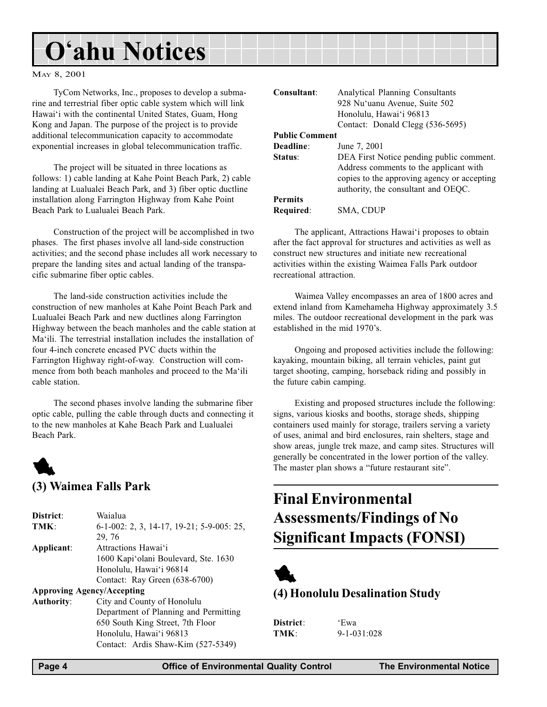#### <span id="page-3-0"></span>MAY 8, 2001

TyCom Networks, Inc., proposes to develop a submarine and terrestrial fiber optic cable system which will link Hawai'i with the continental United States, Guam, Hong Kong and Japan. The purpose of the project is to provide additional telecommunication capacity to accommodate exponential increases in global telecommunication traffic.

The project will be situated in three locations as follows: 1) cable landing at Kahe Point Beach Park, 2) cable landing at Lualualei Beach Park, and 3) fiber optic ductline installation along Farrington Highway from Kahe Point Beach Park to Lualualei Beach Park.

Construction of the project will be accomplished in two phases. The first phases involve all land-side construction activities; and the second phase includes all work necessary to prepare the landing sites and actual landing of the transpacific submarine fiber optic cables.

The land-side construction activities include the construction of new manholes at Kahe Point Beach Park and Lualualei Beach Park and new ductlines along Farrington Highway between the beach manholes and the cable station at Ma'ili. The terrestrial installation includes the installation of four 4-inch concrete encased PVC ducts within the Farrington Highway right-of-way. Construction will commence from both beach manholes and proceed to the Ma'ili cable station.

The second phases involve landing the submarine fiber optic cable, pulling the cable through ducts and connecting it to the new manholes at Kahe Beach Park and Lualualei Beach Park.



#### (3) Waimea Falls Park

| District:         | Waialua                                   |
|-------------------|-------------------------------------------|
| TMK:              | 6-1-002: 2, 3, 14-17, 19-21; 5-9-005: 25, |
|                   | 29, 76                                    |
| Applicant:        | Attractions Hawai'i                       |
|                   | 1600 Kapi'olani Boulevard, Ste. 1630      |
|                   | Honolulu, Hawai'i 96814                   |
|                   | Contact: Ray Green (638-6700)             |
|                   | <b>Approving Agency/Accepting</b>         |
| <b>Authority:</b> | City and County of Honolulu               |
|                   | Department of Planning and Permitting     |
|                   | 650 South King Street, 7th Floor          |
|                   | Honolulu, Hawai'i 96813                   |
|                   | Contact: Ardis Shaw-Kim (527-5349)        |

| Consultant:           | Analytical Planning Consultants                                                                                                                                          |
|-----------------------|--------------------------------------------------------------------------------------------------------------------------------------------------------------------------|
|                       | 928 Nu'uanu Avenue, Suite 502                                                                                                                                            |
|                       | Honolulu, Hawai'i 96813                                                                                                                                                  |
|                       | Contact: Donald Clegg (536-5695)                                                                                                                                         |
| <b>Public Comment</b> |                                                                                                                                                                          |
| Deadline:             | June 7, 2001                                                                                                                                                             |
| Status:               | DEA First Notice pending public comment.<br>Address comments to the applicant with<br>copies to the approving agency or accepting<br>authority, the consultant and OEQC. |
| Permits               |                                                                                                                                                                          |

Required: SMA, CDUP

The applicant, Attractions Hawai'i proposes to obtain after the fact approval for structures and activities as well as construct new structures and initiate new recreational activities within the existing Waimea Falls Park outdoor recreational attraction.

Waimea Valley encompasses an area of 1800 acres and extend inland from Kamehameha Highway approximately 3.5 miles. The outdoor recreational development in the park was established in the mid 1970's.

Ongoing and proposed activities include the following: kayaking, mountain biking, all terrain vehicles, paint gut target shooting, camping, horseback riding and possibly in the future cabin camping.

Existing and proposed structures include the following: signs, various kiosks and booths, storage sheds, shipping containers used mainly for storage, trailers serving a variety of uses, animal and bird enclosures, rain shelters, stage and show areas, jungle trek maze, and camp sites. Structures will generally be concentrated in the lower portion of the valley. The master plan shows a "future restaurant site".

### Final Environmental Assessments/Findings of No Significant Impacts (FONSI)



#### (4) Honolulu Desalination Study

District: 'Ewa TMK: 9-1-031:028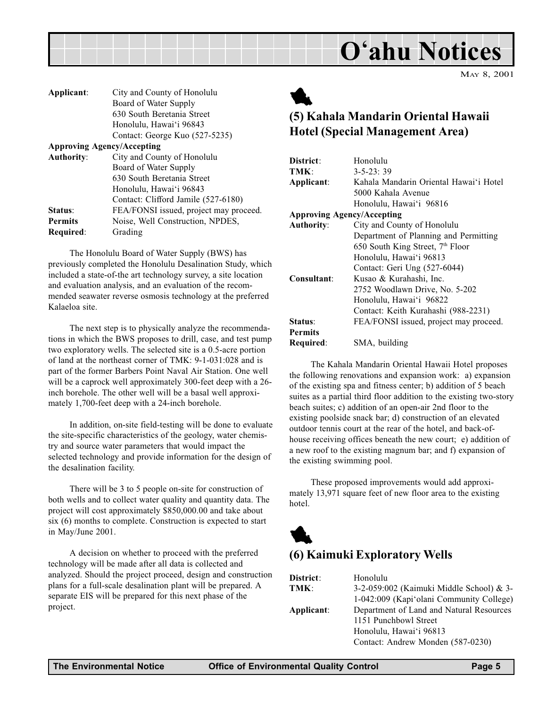

<span id="page-4-0"></span>

| City and County of Honolulu            |
|----------------------------------------|
| Board of Water Supply                  |
| 630 South Beretania Street             |
| Honolulu, Hawai'i 96843                |
| Contact: George Kuo (527-5235)         |
| <b>Approving Agency/Accepting</b>      |
| City and County of Honolulu            |
| Board of Water Supply                  |
| 630 South Beretania Street             |
| Honolulu, Hawai'i 96843                |
| Contact: Clifford Jamile (527-6180)    |
| FEA/FONSI issued, project may proceed. |
| Noise, Well Construction, NPDES,       |
| Grading                                |
|                                        |

The Honolulu Board of Water Supply (BWS) has previously completed the Honolulu Desalination Study, which included a state-of-the art technology survey, a site location and evaluation analysis, and an evaluation of the recommended seawater reverse osmosis technology at the preferred Kalaeloa site.

The next step is to physically analyze the recommendations in which the BWS proposes to drill, case, and test pump two exploratory wells. The selected site is a 0.5-acre portion of land at the northeast corner of TMK: 9-1-031:028 and is part of the former Barbers Point Naval Air Station. One well will be a caprock well approximately 300-feet deep with a 26 inch borehole. The other well will be a basal well approximately 1,700-feet deep with a 24-inch borehole.

In addition, on-site field-testing will be done to evaluate the site-specific characteristics of the geology, water chemistry and source water parameters that would impact the selected technology and provide information for the design of the desalination facility.

There will be 3 to 5 people on-site for construction of both wells and to collect water quality and quantity data. The project will cost approximately \$850,000.00 and take about six (6) months to complete. Construction is expected to start in May/June 2001.

A decision on whether to proceed with the preferred technology will be made after all data is collected and analyzed. Should the project proceed, design and construction plans for a full-scale desalination plant will be prepared. A separate EIS will be prepared for this next phase of the project.



### (5) Kahala Mandarin Oriental Hawaii Hotel (Special Management Area)

| District:                         | Honolulu                                     |
|-----------------------------------|----------------------------------------------|
| TMK:                              | $3 - 5 - 23$ : 39                            |
| Applicant:                        | Kahala Mandarin Oriental Hawai'i Hotel       |
|                                   | 5000 Kahala Avenue                           |
|                                   | Honolulu, Hawai'i 96816                      |
| <b>Approving Agency/Accepting</b> |                                              |
| <b>Authority:</b>                 | City and County of Honolulu                  |
|                                   | Department of Planning and Permitting        |
|                                   | 650 South King Street, 7 <sup>th</sup> Floor |
|                                   | Honolulu, Hawai'i 96813                      |
|                                   | Contact: Geri Ung (527-6044)                 |
| Consultant:                       | Kusao & Kurahashi, Inc.                      |
|                                   | 2752 Woodlawn Drive, No. 5-202               |
|                                   | Honolulu, Hawai'i 96822                      |
|                                   | Contact: Keith Kurahashi (988-2231)          |
| Status:                           | FEA/FONSI issued, project may proceed.       |
| <b>Permits</b>                    |                                              |
| Required:                         | SMA, building                                |

The Kahala Mandarin Oriental Hawaii Hotel proposes the following renovations and expansion work: a) expansion of the existing spa and fitness center; b) addition of 5 beach suites as a partial third floor addition to the existing two-story beach suites; c) addition of an open-air 2nd floor to the existing poolside snack bar; d) construction of an elevated outdoor tennis court at the rear of the hotel, and back-ofhouse receiving offices beneath the new court; e) addition of a new roof to the existing magnum bar; and f) expansion of the existing swimming pool.

These proposed improvements would add approximately 13,971 square feet of new floor area to the existing hotel.



#### (6) Kaimuki Exploratory Wells

| District:  | Honolulu                                 |
|------------|------------------------------------------|
| TMK:       | 3-2-059:002 (Kaimuki Middle School) & 3- |
|            | 1-042:009 (Kapi'olani Community College) |
| Applicant: | Department of Land and Natural Resources |
|            | 1151 Punchbowl Street                    |
|            | Honolulu, Hawai'i 96813                  |
|            | Contact: Andrew Monden (587-0230)        |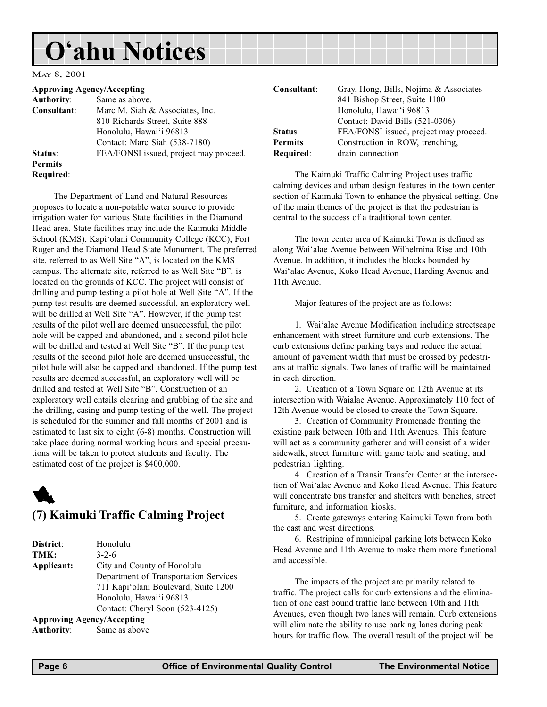#### <span id="page-5-0"></span>MAY 8, 2001

|                   | <b>Approving Agency/Accepting</b>      | Consultant:    | Gray, Hong, Bills, Nojima & Associates           |
|-------------------|----------------------------------------|----------------|--------------------------------------------------|
| <b>Authority:</b> | Same as above.                         |                | 841 Bishop Street, Suite 1100                    |
| Consultant:       | Marc M. Siah & Associates, Inc.        |                | Honolulu, Hawai'i 96813                          |
|                   | 810 Richards Street, Suite 888         |                | Contact: David Bills (521-0306)                  |
|                   | Honolulu, Hawai'i 96813                | Status:        | FEA/FONSI issued, project may proceed.           |
|                   | Contact: Marc Siah (538-7180)          | <b>Permits</b> | Construction in ROW, trenching,                  |
| Status:           | FEA/FONSI issued, project may proceed. | Required:      | drain connection                                 |
| <b>Permits</b>    |                                        |                |                                                  |
| Required:         |                                        |                | The Kaimuki Traffic Calming Project uses traffic |

11th Avenue.

The Department of Land and Natural Resources proposes to locate a non-potable water source to provide irrigation water for various State facilities in the Diamond Head area. State facilities may include the Kaimuki Middle School (KMS), Kapi'olani Community College (KCC), Fort Ruger and the Diamond Head State Monument. The preferred site, referred to as Well Site "A", is located on the KMS campus. The alternate site, referred to as Well Site "B", is located on the grounds of KCC. The project will consist of drilling and pump testing a pilot hole at Well Site "A". If the pump test results are deemed successful, an exploratory well will be drilled at Well Site "A". However, if the pump test results of the pilot well are deemed unsuccessful, the pilot hole will be capped and abandoned, and a second pilot hole will be drilled and tested at Well Site "B". If the pump test results of the second pilot hole are deemed unsuccessful, the pilot hole will also be capped and abandoned. If the pump test results are deemed successful, an exploratory well will be drilled and tested at Well Site "B". Construction of an exploratory well entails clearing and grubbing of the site and the drilling, casing and pump testing of the well. The project is scheduled for the summer and fall months of 2001 and is estimated to last six to eight (6-8) months. Construction will take place during normal working hours and special precautions will be taken to protect students and faculty. The estimated cost of the project is \$400,000.



#### (7) Kaimuki Traffic Calming Project

| District:  | Honolulu                              |
|------------|---------------------------------------|
| TMK:       | $3 - 2.6$                             |
| Applicant: | City and County of Honolulu           |
|            | Department of Transportation Services |
|            | 711 Kapi'olani Boulevard, Suite 1200  |
|            | Honolulu, Hawai'i 96813               |
|            | Contact: Cheryl Soon (523-4125)       |
|            | <b>Approving Agency/Accepting</b>     |
| Authority: | Same as above                         |

The Kaimuki Traffic Calming Project uses traffic calming devices and urban design features in the town center section of Kaimuki Town to enhance the physical setting. One

The town center area of Kaimuki Town is defined as along Wai'alae Avenue between Wilhelmina Rise and 10th Avenue. In addition, it includes the blocks bounded by Wai'alae Avenue, Koko Head Avenue, Harding Avenue and

of the main themes of the project is that the pedestrian is central to the success of a traditional town center.

Major features of the project are as follows:

1. Wai'alae Avenue Modification including streetscape enhancement with street furniture and curb extensions. The curb extensions define parking bays and reduce the actual amount of pavement width that must be crossed by pedestrians at traffic signals. Two lanes of traffic will be maintained in each direction.

2. Creation of a Town Square on 12th Avenue at its intersection with Waialae Avenue. Approximately 110 feet of 12th Avenue would be closed to create the Town Square.

3. Creation of Community Promenade fronting the existing park between 10th and 11th Avenues. This feature will act as a community gatherer and will consist of a wider sidewalk, street furniture with game table and seating, and pedestrian lighting.

4. Creation of a Transit Transfer Center at the intersection of Wai'alae Avenue and Koko Head Avenue. This feature will concentrate bus transfer and shelters with benches, street furniture, and information kiosks.

5. Create gateways entering Kaimuki Town from both the east and west directions.

6. Restriping of municipal parking lots between Koko Head Avenue and 11th Avenue to make them more functional and accessible.

The impacts of the project are primarily related to traffic. The project calls for curb extensions and the elimination of one east bound traffic lane between 10th and 11th Avenues, even though two lanes will remain. Curb extensions will eliminate the ability to use parking lanes during peak hours for traffic flow. The overall result of the project will be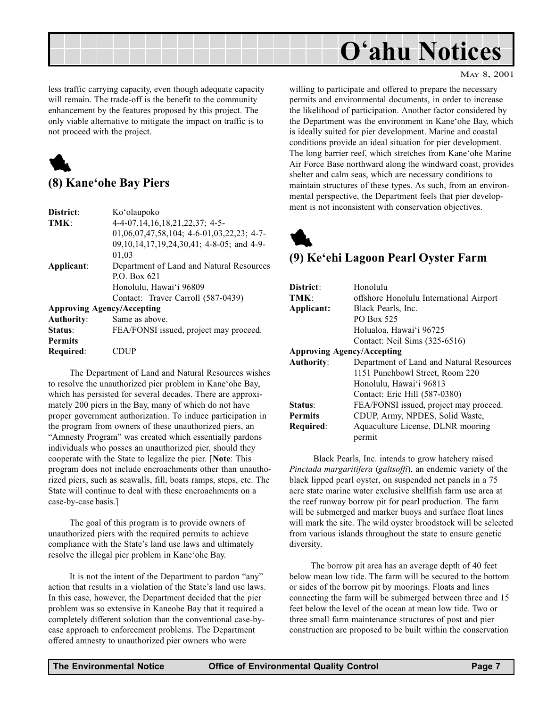<span id="page-6-0"></span>

less traffic carrying capacity, even though adequate capacity will remain. The trade-off is the benefit to the community enhancement by the features proposed by this project. The only viable alternative to mitigate the impact on traffic is to not proceed with the project.



#### (8) Kane'ohe Bay Piers

| District:         | Ko'olaupoko                                  |
|-------------------|----------------------------------------------|
| TMK:              | 4-4-07, 14, 16, 18, 21, 22, 37; 4-5-         |
|                   | $01,06,07,47,58,104$ ; 4-6-01,03,22,23; 4-7- |
|                   | 09,10,14,17,19,24,30,41; 4-8-05; and 4-9-    |
|                   | 01,03                                        |
| Applicant:        | Department of Land and Natural Resources     |
|                   | P.O. Box $621$                               |
|                   | Honolulu, Hawai'i 96809                      |
|                   | Contact: Traver Carroll (587-0439)           |
|                   | <b>Approving Agency/Accepting</b>            |
| <b>Authority:</b> | Same as above.                               |
| Status:           | FEA/FONSI issued, project may proceed.       |
| <b>Permits</b>    |                                              |
| Required:         | CDUP                                         |

The Department of Land and Natural Resources wishes to resolve the unauthorized pier problem in Kane'ohe Bay, which has persisted for several decades. There are approximately 200 piers in the Bay, many of which do not have proper government authorization. To induce participation in the program from owners of these unauthorized piers, an "Amnesty Program" was created which essentially pardons individuals who posses an unauthorized pier, should they cooperate with the State to legalize the pier. [Note: This program does not include encroachments other than unauthorized piers, such as seawalls, fill, boats ramps, steps, etc. The State will continue to deal with these encroachments on a case-by-case basis.]

The goal of this program is to provide owners of unauthorized piers with the required permits to achieve compliance with the State's land use laws and ultimately resolve the illegal pier problem in Kane'ohe Bay.

It is not the intent of the Department to pardon "any" action that results in a violation of the State's land use laws. In this case, however, the Department decided that the pier problem was so extensive in Kaneohe Bay that it required a completely different solution than the conventional case-bycase approach to enforcement problems. The Department offered amnesty to unauthorized pier owners who were

willing to participate and offered to prepare the necessary permits and environmental documents, in order to increase the likelihood of participation. Another factor considered by the Department was the environment in Kane'ohe Bay, which is ideally suited for pier development. Marine and coastal conditions provide an ideal situation for pier development. The long barrier reef, which stretches from Kane'ohe Marine Air Force Base northward along the windward coast, provides shelter and calm seas, which are necessary conditions to maintain structures of these types. As such, from an environmental perspective, the Department feels that pier development is not inconsistent with conservation objectives.

## 1

#### (9) Ke'ehi Lagoon Pearl Oyster Farm

| District:<br>TMK:                 | Honolulu<br>offshore Honolulu International Airport |
|-----------------------------------|-----------------------------------------------------|
| Applicant:                        | Black Pearls, Inc.                                  |
|                                   | PO Box 525                                          |
|                                   | Holualoa, Hawai'i 96725                             |
|                                   | Contact: Neil Sims (325-6516)                       |
| <b>Approving Agency/Accepting</b> |                                                     |
| <b>Authority:</b>                 | Department of Land and Natural Resources            |
|                                   | 1151 Punchbowl Street, Room 220                     |
|                                   | Honolulu, Hawai'i 96813                             |
|                                   | Contact: Eric Hill (587-0380)                       |
| Status:                           | FEA/FONSI issued, project may proceed.              |
| <b>Permits</b>                    | CDUP, Army, NPDES, Solid Waste,                     |
| Required:                         | Aquaculture License, DLNR mooring                   |
|                                   | permit                                              |

 Black Pearls, Inc. intends to grow hatchery raised Pinctada margaritifera (galtsoffi), an endemic variety of the black lipped pearl oyster, on suspended net panels in a 75 acre state marine water exclusive shellfish farm use area at the reef runway borrow pit for pearl production. The farm will be submerged and marker buoys and surface float lines will mark the site. The wild oyster broodstock will be selected from various islands throughout the state to ensure genetic diversity.

The borrow pit area has an average depth of 40 feet below mean low tide. The farm will be secured to the bottom or sides of the borrow pit by moorings. Floats and lines connecting the farm will be submerged between three and 15 feet below the level of the ocean at mean low tide. Two or three small farm maintenance structures of post and pier construction are proposed to be built within the conservation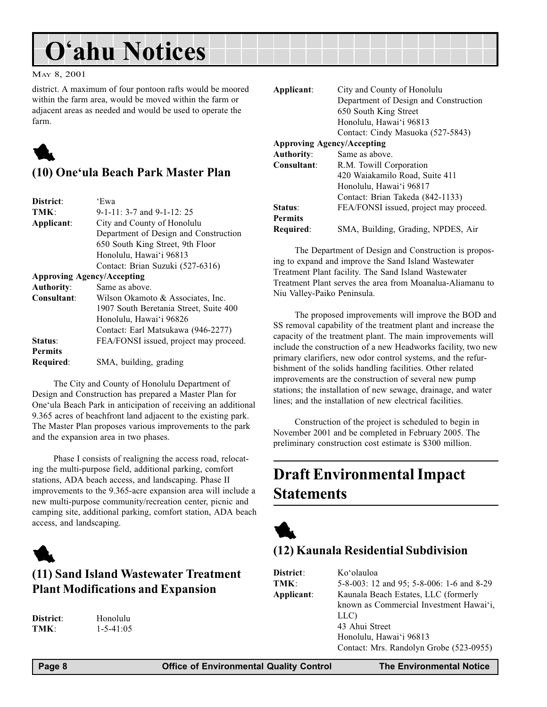#### <span id="page-7-0"></span>MAY 8, 2001

district. A maximum of four pontoon rafts would be moored within the farm area, would be moved within the farm or adjacent areas as needed and would be used to operate the farm.



#### (10) One'ula Beach Park Master Plan

| District:                         | 'Ewa                                   |
|-----------------------------------|----------------------------------------|
| TMK:                              | $9-1-11$ : 3-7 and $9-1-12$ : 25       |
| Applicant:                        | City and County of Honolulu            |
|                                   | Department of Design and Construction  |
|                                   | 650 South King Street, 9th Floor       |
|                                   | Honolulu, Hawai'i 96813                |
|                                   | Contact: Brian Suzuki (527-6316)       |
| <b>Approving Agency/Accepting</b> |                                        |
| <b>Authority:</b>                 | Same as above.                         |
| Consultant:                       | Wilson Okamoto & Associates, Inc.      |
|                                   | 1907 South Beretania Street, Suite 400 |
|                                   | Honolulu, Hawai'i 96826                |
|                                   | Contact: Earl Matsukawa (946-2277)     |
| Status:                           | FEA/FONSI issued, project may proceed. |
| <b>Permits</b>                    |                                        |
| Required:                         | SMA, building, grading                 |

The City and County of Honolulu Department of Design and Construction has prepared a Master Plan for One'ula Beach Park in anticipation of receiving an additional 9.365 acres of beachfront land adjacent to the existing park. The Master Plan proposes various improvements to the park and the expansion area in two phases.

Phase I consists of realigning the access road, relocating the multi-purpose field, additional parking, comfort stations, ADA beach access, and landscaping. Phase II improvements to the 9.365-acre expansion area will include a new multi-purpose community/recreation center, picnic and camping site, additional parking, comfort station, ADA beach access, and landscaping.



#### (11) Sand Island Wastewater Treatment Plant Modifications and Expansion

District: Honolulu TMK: 1-5-41:05 Applicant: City and County of Honolulu Department of Design and Construction 650 South King Street Honolulu, Hawai'i 96813 Contact: Cindy Masuoka (527-5843) Approving Agency/Accepting Authority: Same as above. Consultant: R.M. Towill Corporation 420 Waiakamilo Road, Suite 411 Honolulu, Hawai'i 96817 Contact: Brian Takeda (842-1133) Status: FEA/FONSI issued, project may proceed. Permits Required: SMA, Building, Grading, NPDES, Air

The Department of Design and Construction is proposing to expand and improve the Sand Island Wastewater Treatment Plant facility. The Sand Island Wastewater Treatment Plant serves the area from Moanalua-Aliamanu to Niu Valley-Paiko Peninsula.

The proposed improvements will improve the BOD and SS removal capability of the treatment plant and increase the capacity of the treatment plant. The main improvements will include the construction of a new Headworks facility, two new primary clarifiers, new odor control systems, and the refurbishment of the solids handling facilities. Other related improvements are the construction of several new pump stations; the installation of new sewage, drainage, and water lines; and the installation of new electrical facilities.

Construction of the project is scheduled to begin in November 2001 and be completed in February 2005. The preliminary construction cost estimate is \$300 million.

### Draft Environmental Impact **Statements**



#### (12) Kaunala Residential Subdivision

| District:  | Ko'olauloa                                |
|------------|-------------------------------------------|
| TMK:       | 5-8-003: 12 and 95; 5-8-006: 1-6 and 8-29 |
| Applicant: | Kaunala Beach Estates, LLC (formerly      |
|            | known as Commercial Investment Hawai'i,   |
|            | LLC)                                      |
|            | 43 Ahui Street                            |
|            | Honolulu, Hawai'i 96813                   |
|            | Contact: Mrs. Randolyn Grobe (523-0955)   |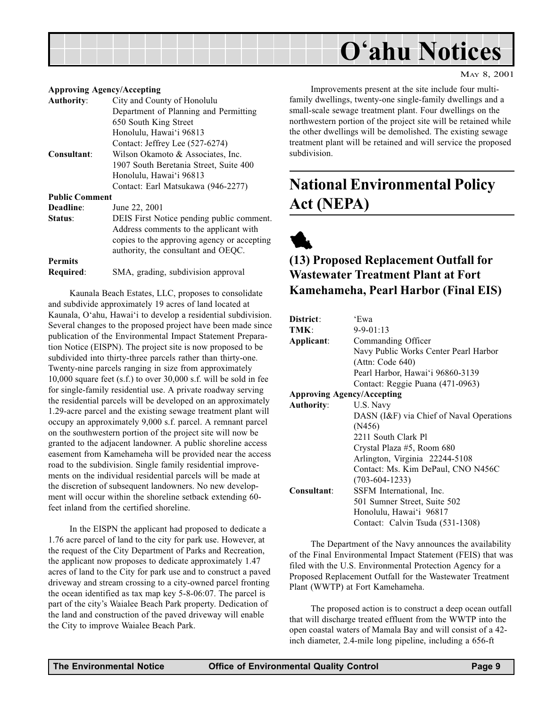#### MAY 8, 2001

#### <span id="page-8-0"></span>Approving Agency/Accepting

| <b>Authority:</b>     | City and County of Honolulu                 |
|-----------------------|---------------------------------------------|
|                       | Department of Planning and Permitting       |
|                       | 650 South King Street                       |
|                       | Honolulu, Hawai'i 96813                     |
|                       | Contact: Jeffrey Lee (527-6274)             |
| Consultant:           | Wilson Okamoto & Associates, Inc.           |
|                       | 1907 South Beretania Street, Suite 400      |
|                       | Honolulu, Hawai'i 96813                     |
|                       | Contact: Earl Matsukawa (946-2277)          |
| <b>Public Comment</b> |                                             |
| Deadline:             | June 22, 2001                               |
| Status:               | DEIS First Notice pending public comment.   |
|                       | Address comments to the applicant with      |
|                       | copies to the approving agency or accepting |
|                       | authority, the consultant and OEQC.         |
| <b>Permits</b>        |                                             |
| Required:             | SMA, grading, subdivision approval          |
|                       |                                             |

Kaunala Beach Estates, LLC, proposes to consolidate and subdivide approximately 19 acres of land located at Kaunala, O'ahu, Hawai'i to develop a residential subdivision. Several changes to the proposed project have been made since publication of the Environmental Impact Statement Preparation Notice (EISPN). The project site is now proposed to be subdivided into thirty-three parcels rather than thirty-one. Twenty-nine parcels ranging in size from approximately 10,000 square feet (s.f.) to over 30,000 s.f. will be sold in fee for single-family residential use. A private roadway serving the residential parcels will be developed on an approximately 1.29-acre parcel and the existing sewage treatment plant will occupy an approximately 9,000 s.f. parcel. A remnant parcel on the southwestern portion of the project site will now be granted to the adjacent landowner. A public shoreline access easement from Kamehameha will be provided near the access road to the subdivision. Single family residential improvements on the individual residential parcels will be made at the discretion of subsequent landowners. No new development will occur within the shoreline setback extending 60 feet inland from the certified shoreline.

In the EISPN the applicant had proposed to dedicate a 1.76 acre parcel of land to the city for park use. However, at the request of the City Department of Parks and Recreation, the applicant now proposes to dedicate approximately 1.47 acres of land to the City for park use and to construct a paved driveway and stream crossing to a city-owned parcel fronting the ocean identified as tax map key 5-8-06:07. The parcel is part of the city's Waialee Beach Park property. Dedication of the land and construction of the paved driveway will enable the City to improve Waialee Beach Park.

Improvements present at the site include four multifamily dwellings, twenty-one single-family dwellings and a small-scale sewage treatment plant. Four dwellings on the northwestern portion of the project site will be retained while the other dwellings will be demolished. The existing sewage treatment plant will be retained and will service the proposed subdivision.

### National Environmental Policy Act (NEPA)



#### (13) Proposed Replacement Outfall for Wastewater Treatment Plant at Fort Kamehameha, Pearl Harbor (Final EIS)

| District:                         | 'Ewa                                     |
|-----------------------------------|------------------------------------------|
| TMK:                              | $9 - 9 - 01:13$                          |
| Applicant:                        | Commanding Officer                       |
|                                   | Navy Public Works Center Pearl Harbor    |
|                                   | (Attn: Code 640)                         |
|                                   | Pearl Harbor, Hawai'i 96860-3139         |
|                                   | Contact: Reggie Puana (471-0963)         |
| <b>Approving Agency/Accepting</b> |                                          |
| <b>Authority:</b>                 | U.S. Navy                                |
|                                   | DASN (I&F) via Chief of Naval Operations |
|                                   | (N456)                                   |
|                                   | 2211 South Clark Pl                      |
|                                   | Crystal Plaza #5, Room 680               |
|                                   | Arlington, Virginia 22244-5108           |
|                                   | Contact: Ms. Kim DePaul, CNO N456C       |
|                                   | $(703-604-1233)$                         |
| Consultant:                       | SSFM International, Inc.                 |
|                                   | 501 Sumner Street, Suite 502             |
|                                   | Honolulu, Hawai'i 96817                  |
|                                   | Contact: Calvin Tsuda (531-1308)         |

The Department of the Navy announces the availability of the Final Environmental Impact Statement (FEIS) that was filed with the U.S. Environmental Protection Agency for a Proposed Replacement Outfall for the Wastewater Treatment Plant (WWTP) at Fort Kamehameha.

The proposed action is to construct a deep ocean outfall that will discharge treated effluent from the WWTP into the open coastal waters of Mamala Bay and will consist of a 42 inch diameter, 2.4-mile long pipeline, including a 656-ft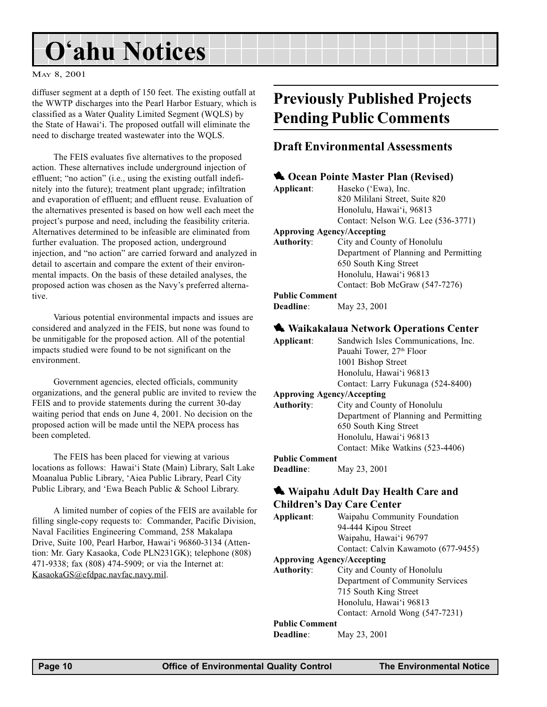#### <span id="page-9-0"></span>MAY 8, 2001

diffuser segment at a depth of 150 feet. The existing outfall at the WWTP discharges into the Pearl Harbor Estuary, which is classified as a Water Quality Limited Segment (WQLS) by the State of Hawai'i. The proposed outfall will eliminate the need to discharge treated wastewater into the WQLS.

The FEIS evaluates five alternatives to the proposed action. These alternatives include underground injection of effluent; "no action" (i.e., using the existing outfall indefinitely into the future); treatment plant upgrade; infiltration and evaporation of effluent; and effluent reuse. Evaluation of the alternatives presented is based on how well each meet the project's purpose and need, including the feasibility criteria. Alternatives determined to be infeasible are eliminated from further evaluation. The proposed action, underground injection, and "no action" are carried forward and analyzed in detail to ascertain and compare the extent of their environmental impacts. On the basis of these detailed analyses, the proposed action was chosen as the Navy's preferred alternative.

Various potential environmental impacts and issues are considered and analyzed in the FEIS, but none was found to be unmitigable for the proposed action. All of the potential impacts studied were found to be not significant on the environment.

Government agencies, elected officials, community organizations, and the general public are invited to review the FEIS and to provide statements during the current 30-day waiting period that ends on June 4, 2001. No decision on the proposed action will be made until the NEPA process has been completed.

The FEIS has been placed for viewing at various locations as follows: Hawai'i State (Main) Library, Salt Lake Moanalua Public Library, Aiea Public Library, Pearl City Public Library, and 'Ewa Beach Public & School Library.

A limited number of copies of the FEIS are available for filling single-copy requests to: Commander, Pacific Division, Naval Facilities Engineering Command, 258 Makalapa Drive, Suite 100, Pearl Harbor, Hawai'i 96860-3134 (Attention: Mr. Gary Kasaoka, Code PLN231GK); telephone (808) 471-9338; fax (808) 474-5909; or via the Internet at: KasaokaGS@efdpac.navfac.navy.mil.

### Previously Published Projects Pending Public Comments

#### Draft Environmental Assessments

| Applicant:                                 | Cocan Pointe Master Plan (Revised)<br>Haseko ('Ewa), Inc. |
|--------------------------------------------|-----------------------------------------------------------|
|                                            | 820 Mililani Street, Suite 820                            |
|                                            | Honolulu, Hawai'i, 96813                                  |
|                                            | Contact: Nelson W.G. Lee (536-3771)                       |
|                                            | <b>Approving Agency/Accepting</b>                         |
| <b>Authority:</b>                          | City and County of Honolulu                               |
|                                            | Department of Planning and Permitting                     |
|                                            | 650 South King Street                                     |
|                                            | Honolulu, Hawai'i 96813                                   |
|                                            |                                                           |
|                                            | Contact: Bob McGraw (547-7276)                            |
| <b>Public Comment</b>                      |                                                           |
| Deadline:                                  | May 23, 2001                                              |
|                                            | <b>Waikakalaua Network Operations Center</b>              |
|                                            |                                                           |
|                                            |                                                           |
| Applicant:                                 | Sandwich Isles Communications, Inc.                       |
|                                            | Pauahi Tower, 27th Floor                                  |
|                                            | 1001 Bishop Street                                        |
|                                            | Honolulu, Hawai'i 96813                                   |
|                                            | Contact: Larry Fukunaga (524-8400)                        |
|                                            | <b>Approving Agency/Accepting</b>                         |
|                                            | City and County of Honolulu                               |
|                                            |                                                           |
|                                            | 650 South King Street                                     |
|                                            | Honolulu, Hawai'i 96813                                   |
|                                            | Contact: Mike Watkins (523-4406)                          |
| <b>Authority:</b><br><b>Public Comment</b> | Department of Planning and Permitting                     |
| Deadline:                                  | May 23, 2001                                              |

#### Waipahu Adult Day Health Care and Children's Day Care Center

Applicant: Waipahu Community Foundation 94-444 Kipou Street Waipahu, Hawai'i 96797 Contact: Calvin Kawamoto (677-9455) Approving Agency/Accepting Authority: City and County of Honolulu

Department of Community Services 715 South King Street Honolulu, Hawai'i 96813 Contact: Arnold Wong (547-7231)

#### Public Comment

**Deadline:** May 23, 2001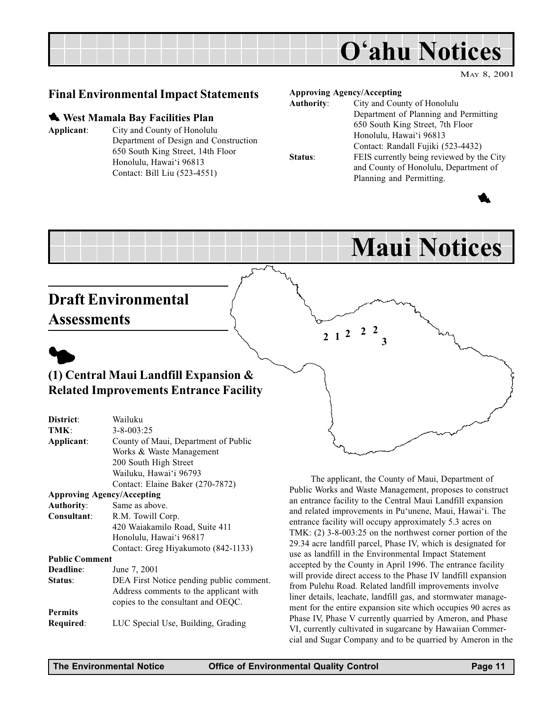<span id="page-10-0"></span>

#### Final Environmental Impact Statements

#### **West Mamala Bay Facilities Plan**

#### Applicant: City and County of Honolulu Department of Design and Construction 650 South King Street, 14th Floor Honolulu, Hawai'i 96813 Contact: Bill Liu (523-4551)

#### Approving Agency/Accepting

 $2 \t1 \t2 \t2 \t3$ 

| <b>Authority:</b> | City and County of Honolulu               |
|-------------------|-------------------------------------------|
|                   | Department of Planning and Permitting     |
|                   | 650 South King Street, 7th Floor          |
|                   | Honolulu, Hawai'i 96813                   |
|                   | Contact: Randall Fujiki (523-4432)        |
| Status:           | FEIS currently being reviewed by the City |
|                   | and County of Honolulu, Department of     |
|                   | Planning and Permitting.                  |



## Maui Notices

### Draft Environmental **Assessments**



#### (1) Central Maui Landfill Expansion & Related Improvements Entrance Facility

| District:                         | Wailuku                                  |
|-----------------------------------|------------------------------------------|
| TMK:                              | $3 - 8 - 003:25$                         |
| Applicant:                        | County of Maui, Department of Public     |
|                                   | Works & Waste Management                 |
|                                   | 200 South High Street                    |
|                                   | Wailuku, Hawai'i 96793                   |
|                                   | Contact: Elaine Baker (270-7872)         |
| <b>Approving Agency/Accepting</b> |                                          |
| <b>Authority:</b>                 | Same as above.                           |
| Consultant:                       | R.M. Towill Corp.                        |
|                                   | 420 Waiakamilo Road, Suite 411           |
|                                   | Honolulu, Hawai'i 96817                  |
|                                   | Contact: Greg Hiyakumoto (842-1133)      |
| <b>Public Comment</b>             |                                          |
| Deadline:                         | June 7, 2001                             |
| Status:                           | DEA First Notice pending public comment. |
|                                   | Address comments to the applicant with   |
|                                   | copies to the consultant and OEQC.       |
| <b>Permits</b>                    |                                          |
| Required:                         | LUC Special Use, Building, Grading       |
|                                   |                                          |

The applicant, the County of Maui, Department of Public Works and Waste Management, proposes to construct an entrance facility to the Central Maui Landfill expansion and related improvements in Pu'unene, Maui, Hawai'i. The entrance facility will occupy approximately 5.3 acres on TMK: (2) 3-8-003:25 on the northwest corner portion of the 29.34 acre landfill parcel, Phase IV, which is designated for use as landfill in the Environmental Impact Statement accepted by the County in April 1996. The entrance facility will provide direct access to the Phase IV landfill expansion from Pulehu Road. Related landfill improvements involve liner details, leachate, landfill gas, and stormwater management for the entire expansion site which occupies 90 acres as Phase IV, Phase V currently quarried by Ameron, and Phase VI, currently cultivated in sugarcane by Hawaiian Commercial and Sugar Company and to be quarried by Ameron in the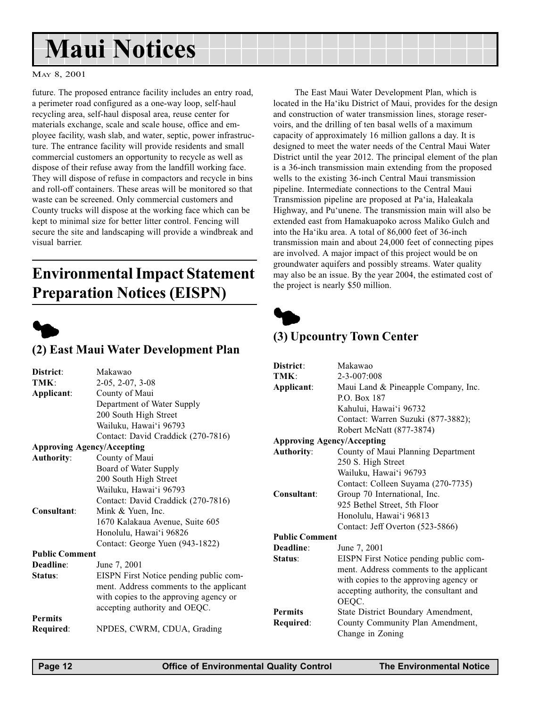## <span id="page-11-0"></span>Maui Notices

#### MAY 8, 2001

future. The proposed entrance facility includes an entry road, a perimeter road configured as a one-way loop, self-haul recycling area, self-haul disposal area, reuse center for materials exchange, scale and scale house, office and employee facility, wash slab, and water, septic, power infrastructure. The entrance facility will provide residents and small commercial customers an opportunity to recycle as well as dispose of their refuse away from the landfill working face. They will dispose of refuse in compactors and recycle in bins and roll-off containers. These areas will be monitored so that waste can be screened. Only commercial customers and County trucks will dispose at the working face which can be kept to minimal size for better litter control. Fencing will secure the site and landscaping will provide a windbreak and visual barrier.

### Environmental Impact Statement Preparation Notices (EISPN)



#### (2) East Maui Water Development Plan

|                                   |                                         | District:             | Makawao                                 |
|-----------------------------------|-----------------------------------------|-----------------------|-----------------------------------------|
| District:                         | Makawao                                 | TMK:                  | 2-3-007:008                             |
| TMK:                              | $2-05, 2-07, 3-08$                      | Applicant:            | Maui Land & Pineapple Company, Inc.     |
| Applicant:                        | County of Maui                          |                       | P.O. Box 187                            |
|                                   | Department of Water Supply              |                       | Kahului, Hawai'i 96732                  |
|                                   | 200 South High Street                   |                       | Contact: Warren Suzuki (877-3882);      |
|                                   | Wailuku, Hawai'i 96793                  |                       | Robert McNatt (877-3874)                |
|                                   | Contact: David Craddick (270-7816)      |                       | <b>Approving Agency/Accepting</b>       |
| <b>Approving Agency/Accepting</b> |                                         | <b>Authority:</b>     | County of Maui Planning Department      |
| <b>Authority:</b>                 | County of Maui                          |                       | 250 S. High Street                      |
|                                   | Board of Water Supply                   |                       | Wailuku, Hawai'i 96793                  |
|                                   | 200 South High Street                   |                       | Contact: Colleen Suyama (270-7735)      |
|                                   | Wailuku, Hawai'i 96793                  | Consultant:           | Group 70 International, Inc.            |
|                                   | Contact: David Craddick (270-7816)      |                       |                                         |
| Consultant:                       | Mink & Yuen, Inc.                       |                       | 925 Bethel Street, 5th Floor            |
|                                   | 1670 Kalakaua Avenue, Suite 605         |                       | Honolulu, Hawai'i 96813                 |
|                                   | Honolulu, Hawai'i 96826                 |                       | Contact: Jeff Overton (523-5866)        |
|                                   | Contact: George Yuen (943-1822)         | <b>Public Comment</b> |                                         |
| <b>Public Comment</b>             |                                         | Deadline:             | June 7, 2001                            |
| Deadline:                         | June 7, 2001                            | Status:               | EISPN First Notice pending public com-  |
| Status:                           | EISPN First Notice pending public com-  |                       | ment. Address comments to the applicant |
|                                   | ment. Address comments to the applicant |                       | with copies to the approving agency or  |
|                                   |                                         |                       | accepting authority, the consultant and |
|                                   | with copies to the approving agency or  |                       | OEQC.                                   |
|                                   | accepting authority and OEQC.           | <b>Permits</b>        | State District Boundary Amendment,      |
| <b>Permits</b>                    |                                         | Required:             | County Community Plan Amendment,        |
| Required:                         | NPDES, CWRM, CDUA, Grading              |                       | Change in Zoning                        |
|                                   |                                         |                       |                                         |

The East Maui Water Development Plan, which is located in the Ha'iku District of Maui, provides for the design and construction of water transmission lines, storage reservoirs, and the drilling of ten basal wells of a maximum capacity of approximately 16 million gallons a day. It is designed to meet the water needs of the Central Maui Water District until the year 2012. The principal element of the plan is a 36-inch transmission main extending from the proposed wells to the existing 36-inch Central Maui transmission pipeline. Intermediate connections to the Central Maui Transmission pipeline are proposed at Pa'ia, Haleakala Highway, and Pu'unene. The transmission main will also be extended east from Hamakuapoko across Maliko Gulch and into the Ha'iku area. A total of 86,000 feet of 36-inch transmission main and about 24,000 feet of connecting pipes are involved. A major impact of this project would be on groundwater aquifers and possibly streams. Water quality may also be an issue. By the year 2004, the estimated cost of the project is nearly \$50 million.



#### (3) Upcountry Town Center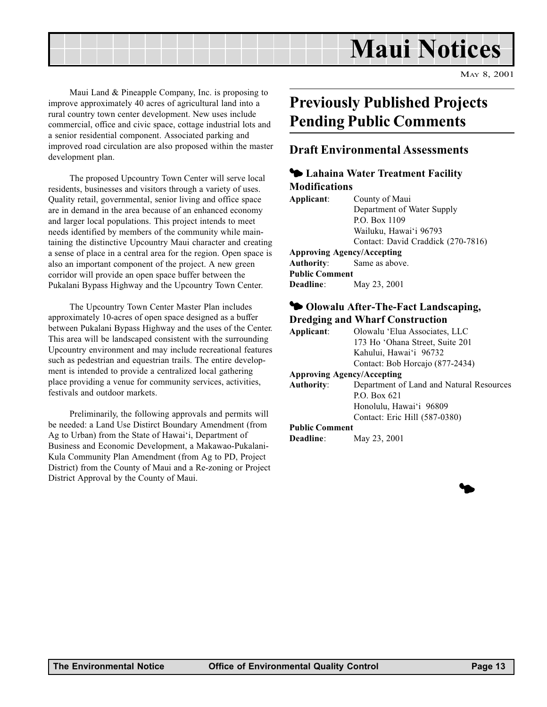## Maui Notices

MAY 8, 2001

<span id="page-12-0"></span>Maui Land & Pineapple Company, Inc. is proposing to improve approximately 40 acres of agricultural land into a rural country town center development. New uses include commercial, office and civic space, cottage industrial lots and a senior residential component. Associated parking and improved road circulation are also proposed within the master development plan.

The proposed Upcountry Town Center will serve local residents, businesses and visitors through a variety of uses. Quality retail, governmental, senior living and office space are in demand in the area because of an enhanced economy and larger local populations. This project intends to meet needs identified by members of the community while maintaining the distinctive Upcountry Maui character and creating a sense of place in a central area for the region. Open space is also an important component of the project. A new green corridor will provide an open space buffer between the Pukalani Bypass Highway and the Upcountry Town Center.

The Upcountry Town Center Master Plan includes approximately 10-acres of open space designed as a buffer between Pukalani Bypass Highway and the uses of the Center. This area will be landscaped consistent with the surrounding Upcountry environment and may include recreational features such as pedestrian and equestrian trails. The entire development is intended to provide a centralized local gathering place providing a venue for community services, activities, festivals and outdoor markets.

Preliminarily, the following approvals and permits will be needed: a Land Use Distirct Boundary Amendment (from Ag to Urban) from the State of Hawai'i, Department of Business and Economic Development, a Makawao-Pukalani-Kula Community Plan Amendment (from Ag to PD, Project District) from the County of Maui and a Re-zoning or Project District Approval by the County of Maui.

### Previously Published Projects Pending Public Comments

#### Draft Environmental Assessments

#### $\blacklozenge$  Lahaina Water Treatment Facility Modifications

| Applicant:                        | County of Maui                     |
|-----------------------------------|------------------------------------|
|                                   | Department of Water Supply         |
|                                   | P.O. Box 1109                      |
|                                   | Wailuku, Hawai'i 96793             |
|                                   | Contact: David Craddick (270-7816) |
| <b>Approving Agency/Accepting</b> |                                    |
|                                   | <b>Authority:</b> Same as above.   |
| <b>Public Comment</b>             |                                    |
| <b>Deadline:</b>                  | May 23, 2001                       |
|                                   |                                    |

#### <sup>4</sup> Olowalu After-The-Fact Landscaping, Dredging and Wharf Construction

Applicant: Olowalu Elua Associates, LLC 173 Ho 'Ohana Street, Suite 201 Kahului, Hawai'i 96732 Contact: Bob Horcajo (877-2434)

#### Approving Agency/Accepting

Authority: Department of Land and Natural Resources P.O. Box 621 Honolulu, Hawai'i 96809 Contact: Eric Hill (587-0380)

#### Public Comment

**Deadline:** May 23, 2001

**d**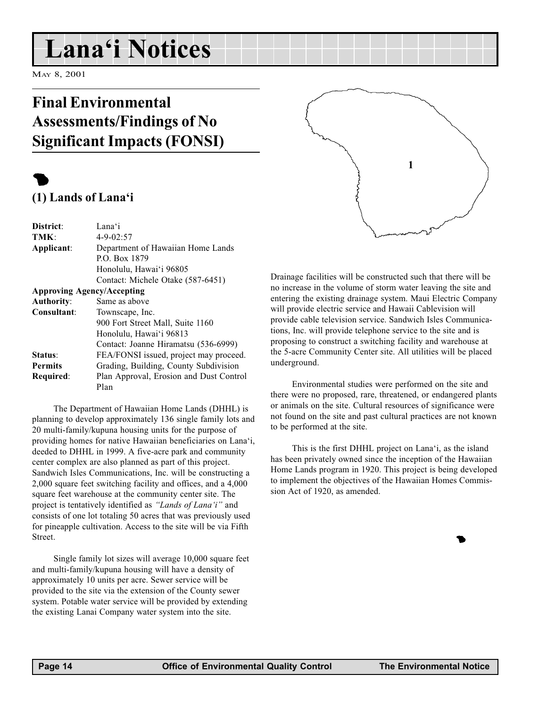## <span id="page-13-0"></span>Lana'i Notices

MAY 8, 2001

### Final Environmental Assessments/Findings of No Significant Impacts (FONSI)

### $\bullet$  $(1)$  Lands of Lana'i

| District:         | Lana'i                                  |
|-------------------|-----------------------------------------|
| TMK:              | $4 - 9 - 02:57$                         |
| Applicant:        | Department of Hawaiian Home Lands       |
|                   | P.O. Box 1879                           |
|                   | Honolulu, Hawai'i 96805                 |
|                   | Contact: Michele Otake (587-6451)       |
|                   | <b>Approving Agency/Accepting</b>       |
| <b>Authority:</b> | Same as above                           |
| Consultant:       | Townscape, Inc.                         |
|                   | 900 Fort Street Mall, Suite 1160        |
|                   | Honolulu, Hawai'i 96813                 |
|                   | Contact: Joanne Hiramatsu (536-6999)    |
| Status:           | FEA/FONSI issued, project may proceed.  |
| <b>Permits</b>    | Grading, Building, County Subdivision   |
| Required:         | Plan Approval, Erosion and Dust Control |
|                   | Plan                                    |

The Department of Hawaiian Home Lands (DHHL) is planning to develop approximately 136 single family lots and 20 multi-family/kupuna housing units for the purpose of providing homes for native Hawaiian beneficiaries on Lana'i, deeded to DHHL in 1999. A five-acre park and community center complex are also planned as part of this project. Sandwich Isles Communications, Inc. will be constructing a 2,000 square feet switching facility and offices, and a 4,000 square feet warehouse at the community center site. The project is tentatively identified as "Lands of Lana'i" and consists of one lot totaling 50 acres that was previously used for pineapple cultivation. Access to the site will be via Fifth Street.

Single family lot sizes will average 10,000 square feet and multi-family/kupuna housing will have a density of approximately 10 units per acre. Sewer service will be provided to the site via the extension of the County sewer system. Potable water service will be provided by extending the existing Lanai Company water system into the site.



Drainage facilities will be constructed such that there will be no increase in the volume of storm water leaving the site and entering the existing drainage system. Maui Electric Company will provide electric service and Hawaii Cablevision will provide cable television service. Sandwich Isles Communications, Inc. will provide telephone service to the site and is proposing to construct a switching facility and warehouse at the 5-acre Community Center site. All utilities will be placed underground.

Environmental studies were performed on the site and there were no proposed, rare, threatened, or endangered plants or animals on the site. Cultural resources of significance were not found on the site and past cultural practices are not known to be performed at the site.

This is the first DHHL project on Lana'i, as the island has been privately owned since the inception of the Hawaiian Home Lands program in 1920. This project is being developed to implement the objectives of the Hawaiian Homes Commission Act of 1920, as amended.

**1**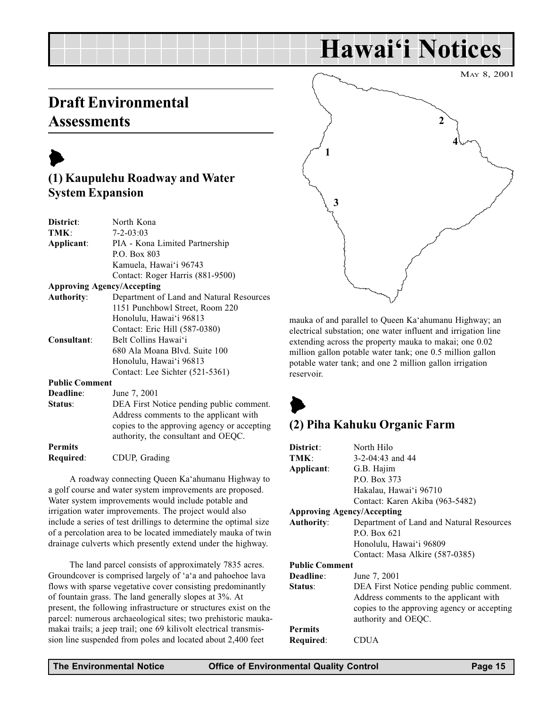## Hawai'i Notices

### <span id="page-14-0"></span>Draft Environmental **Assessments**

## $\blacktriangleright$

#### (1) Kaupulehu Roadway and Water System Expansion

| District:             | North Kona                                  |
|-----------------------|---------------------------------------------|
| TMK:                  | $7 - 2 - 03:03$                             |
| Applicant:            | PIA - Kona Limited Partnership              |
|                       | P.O. Box 803                                |
|                       | Kamuela, Hawai'i 96743                      |
|                       | Contact: Roger Harris (881-9500)            |
|                       | <b>Approving Agency/Accepting</b>           |
| <b>Authority:</b>     | Department of Land and Natural Resources    |
|                       | 1151 Punchbowl Street, Room 220             |
|                       | Honolulu, Hawai'i 96813                     |
|                       | Contact: Eric Hill (587-0380)               |
| Consultant:           | Belt Collins Hawai'i                        |
|                       | 680 Ala Moana Blvd. Suite 100               |
|                       | Honolulu, Hawai'i 96813                     |
|                       | Contact: Lee Sichter (521-5361)             |
| <b>Public Comment</b> |                                             |
| Deadline:             | June 7, 2001                                |
| Status:               | DEA First Notice pending public comment.    |
|                       | Address comments to the applicant with      |
|                       | copies to the approving agency or accepting |
|                       | authority, the consultant and OEQC.         |
| <b>Permits</b>        |                                             |
| Required:             | CDUP, Grading                               |
|                       |                                             |

A roadway connecting Queen Ka'ahumanu Highway to a golf course and water system improvements are proposed. Water system improvements would include potable and irrigation water improvements. The project would also include a series of test drillings to determine the optimal size of a percolation area to be located immediately mauka of twin drainage culverts which presently extend under the highway.

The land parcel consists of approximately 7835 acres. Groundcover is comprised largely of 'a'a and pahoehoe lava flows with sparse vegetative cover consisting predominantly of fountain grass. The land generally slopes at 3%. At present, the following infrastructure or structures exist on the parcel: numerous archaeological sites; two prehistoric maukamakai trails; a jeep trail; one 69 kilivolt electrical transmission line suspended from poles and located about 2,400 feet



mauka of and parallel to Queen Ka'ahumanu Highway; an electrical substation; one water influent and irrigation line extending across the property mauka to makai; one 0.02 million gallon potable water tank; one 0.5 million gallon potable water tank; and one 2 million gallon irrigation reservoir.

### $\blacktriangleright$ (2) Piha Kahuku Organic Farm

| District:                         | North Hilo                                  |
|-----------------------------------|---------------------------------------------|
| TMK:                              | $3-2-04:43$ and 44                          |
| Applicant:                        | G.B. Hajim                                  |
|                                   | P.O. Box 373                                |
|                                   | Hakalau, Hawai'i 96710                      |
|                                   | Contact: Karen Akiba (963-5482)             |
| <b>Approving Agency/Accepting</b> |                                             |
| <b>Authority:</b>                 | Department of Land and Natural Resources    |
|                                   | P.O. Box 621                                |
|                                   | Honolulu, Hawai'i 96809                     |
|                                   | Contact: Masa Alkire (587-0385)             |
| <b>Public Comment</b>             |                                             |
| Deadline:                         | June 7, 2001                                |
| Status:                           | DEA First Notice pending public comment.    |
|                                   | Address comments to the applicant with      |
|                                   | copies to the approving agency or accepting |
|                                   | authority and OEQC.                         |
| <b>Permits</b>                    |                                             |
| Required:                         | DUA                                         |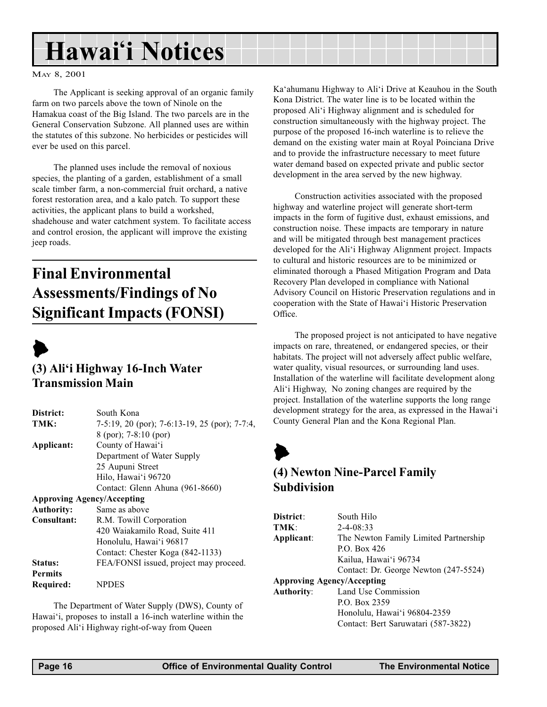## <span id="page-15-0"></span>Hawai'i Notices

#### MAY 8, 2001

The Applicant is seeking approval of an organic family farm on two parcels above the town of Ninole on the Hamakua coast of the Big Island. The two parcels are in the General Conservation Subzone. All planned uses are within the statutes of this subzone. No herbicides or pesticides will ever be used on this parcel.

The planned uses include the removal of noxious species, the planting of a garden, establishment of a small scale timber farm, a non-commercial fruit orchard, a native forest restoration area, and a kalo patch. To support these activities, the applicant plans to build a workshed, shadehouse and water catchment system. To facilitate access and control erosion, the applicant will improve the existing jeep roads.

### Final Environmental Assessments/Findings of No Significant Impacts (FONSI)



#### $(3)$  Ali'i Highway 16-Inch Water Transmission Main

| District:                         | South Kona                                    |
|-----------------------------------|-----------------------------------------------|
| TMK:                              | 7-5:19, 20 (por); 7-6:13-19, 25 (por); 7-7:4, |
|                                   | $8$ (por); 7-8:10 (por)                       |
| Applicant:                        | County of Hawai'i                             |
|                                   | Department of Water Supply                    |
|                                   | 25 Aupuni Street                              |
|                                   | Hilo, Hawai'i 96720                           |
|                                   | Contact: Glenn Ahuna (961-8660)               |
| <b>Approving Agency/Accepting</b> |                                               |
| <b>Authority:</b>                 | Same as above                                 |
| Consultant:                       | R.M. Towill Corporation                       |
|                                   | 420 Waiakamilo Road, Suite 411                |
|                                   | Honolulu, Hawai'i 96817                       |
|                                   | Contact: Chester Koga (842-1133)              |
| Status:                           | FEA/FONSI issued, project may proceed.        |
| <b>Permits</b>                    |                                               |
| Required:                         | <b>NPDES</b>                                  |

The Department of Water Supply (DWS), County of Hawai'i, proposes to install a 16-inch waterline within the proposed Ali'i Highway right-of-way from Queen

Ka'ahumanu Highway to Ali'i Drive at Keauhou in the South Kona District. The water line is to be located within the proposed Ali'i Highway alignment and is scheduled for construction simultaneously with the highway project. The purpose of the proposed 16-inch waterline is to relieve the demand on the existing water main at Royal Poinciana Drive and to provide the infrastructure necessary to meet future water demand based on expected private and public sector development in the area served by the new highway.

Construction activities associated with the proposed highway and waterline project will generate short-term impacts in the form of fugitive dust, exhaust emissions, and construction noise. These impacts are temporary in nature and will be mitigated through best management practices developed for the Ali'i Highway Alignment project. Impacts to cultural and historic resources are to be minimized or eliminated thorough a Phased Mitigation Program and Data Recovery Plan developed in compliance with National Advisory Council on Historic Preservation regulations and in cooperation with the State of Hawai'i Historic Preservation Office.

The proposed project is not anticipated to have negative impacts on rare, threatened, or endangered species, or their habitats. The project will not adversely affect public welfare, water quality, visual resources, or surrounding land uses. Installation of the waterline will facilitate development along Ali'i Highway. No zoning changes are required by the project. Installation of the waterline supports the long range development strategy for the area, as expressed in the Hawai'i County General Plan and the Kona Regional Plan.

### $\blacktriangleright$ (4) Newton Nine-Parcel Family Subdivision

| District:                         | South Hilo                            |
|-----------------------------------|---------------------------------------|
| TMK:                              | $2 - 4 - 08:33$                       |
| Applicant:                        | The Newton Family Limited Partnership |
|                                   | P.O. Box $426$                        |
|                                   | Kailua, Hawai'i 96734                 |
|                                   | Contact: Dr. George Newton (247-5524) |
| <b>Approving Agency/Accepting</b> |                                       |
| Authority:                        | Land Use Commission                   |
|                                   | P.O. Box 2359                         |
|                                   | Honolulu, Hawai'i 96804-2359          |
|                                   | Contact: Bert Saruwatari (587-3822)   |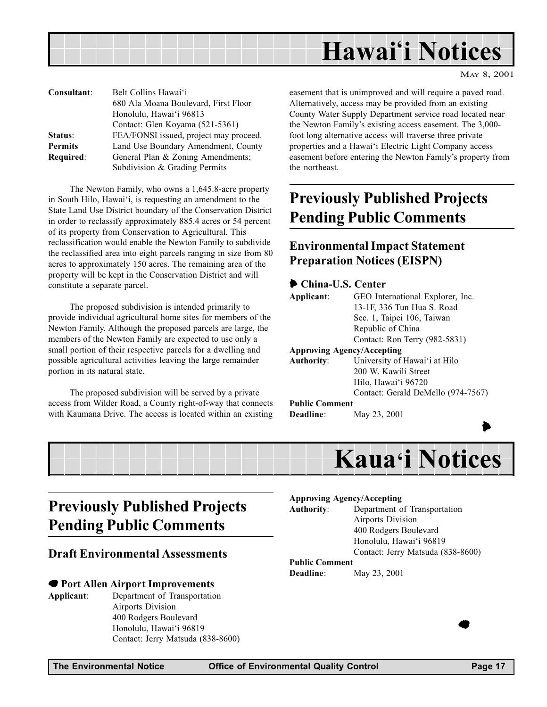<span id="page-16-0"></span>

| Consultant:    | Belt Collins Hawai'i                   |
|----------------|----------------------------------------|
|                | 680 Ala Moana Boulevard, First Floor   |
|                | Honolulu, Hawai'i 96813                |
|                | Contact: Glen Koyama (521-5361)        |
| Status:        | FEA/FONSI issued, project may proceed. |
| <b>Permits</b> | Land Use Boundary Amendment, County    |
| Required:      | General Plan & Zoning Amendments;      |
|                | Subdivision & Grading Permits          |

The Newton Family, who owns a 1,645.8-acre property in South Hilo, Hawai'i, is requesting an amendment to the State Land Use District boundary of the Conservation District in order to reclassify approximately 885.4 acres or 54 percent of its property from Conservation to Agricultural. This reclassification would enable the Newton Family to subdivide the reclassified area into eight parcels ranging in size from 80 acres to approximately 150 acres. The remaining area of the property will be kept in the Conservation District and will constitute a separate parcel.

The proposed subdivision is intended primarily to provide individual agricultural home sites for members of the Newton Family. Although the proposed parcels are large, the members of the Newton Family are expected to use only a small portion of their respective parcels for a dwelling and possible agricultural activities leaving the large remainder portion in its natural state.

The proposed subdivision will be served by a private access from Wilder Road, a County right-of-way that connects with Kaumana Drive. The access is located within an existing easement that is unimproved and will require a paved road. Alternatively, access may be provided from an existing County Water Supply Department service road located near the Newton Family's existing access easement. The 3,000foot long alternative access will traverse three private properties and a Hawai'i Electric Light Company access easement before entering the Newton Family's property from the northeast.

### Previously Published Projects Pending Public Comments

#### Environmental Impact Statement Preparation Notices (EISPN)

#### 6 China-U.S. Center

| Applicant:            | GEO International Explorer, Inc.   |
|-----------------------|------------------------------------|
|                       | 13-1F, 336 Tun Hua S. Road         |
|                       | Sec. 1, Taipei 106, Taiwan         |
|                       | Republic of China                  |
|                       | Contact: Ron Terry (982-5831)      |
|                       | <b>Approving Agency/Accepting</b>  |
| <b>Authority:</b>     | University of Hawai'i at Hilo      |
|                       | 200 W. Kawili Street               |
|                       | Hilo, Hawai'i 96720                |
|                       | Contact: Gerald DeMello (974-7567) |
| <b>Public Comment</b> |                                    |
| Deadline:             | May 23, 2001                       |
|                       |                                    |
|                       |                                    |



### Previously Published Projects Pending Public Comments

#### Draft Environmental Assessments

#### 7 Port Allen Airport Improvements

Applicant: Department of Transportation Airports Division 400 Rodgers Boulevard Honolulu, Hawai'i 96819 Contact: Jerry Matsuda (838-8600)

#### Approving Agency/Accepting

Authority: Department of Transportation Airports Division 400 Rodgers Boulevard Honolulu, Hawai'i 96819 Contact: Jerry Matsuda (838-8600)

#### Public Comment

Deadline: May 23, 2001

 $\bullet$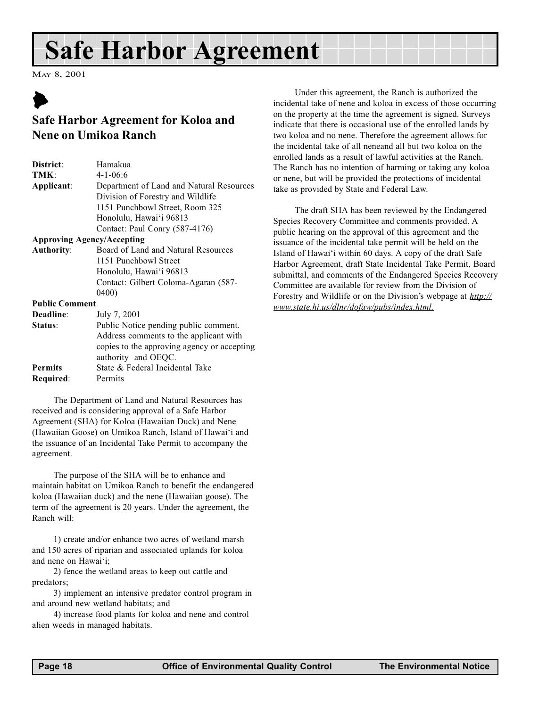## <span id="page-17-0"></span>Safe Harbor Agreement

MAY 8, 2001

### $\blacktriangleright$ Safe Harbor Agreement for Koloa and Nene on Umikoa Ranch

| District:             | Hamakua                                     |  |  |
|-----------------------|---------------------------------------------|--|--|
| TMK:                  | $4 - 1 - 06:6$                              |  |  |
| Applicant:            | Department of Land and Natural Resources    |  |  |
|                       | Division of Forestry and Wildlife           |  |  |
|                       | 1151 Punchbowl Street, Room 325             |  |  |
|                       | Honolulu, Hawai'i 96813                     |  |  |
|                       | Contact: Paul Conry (587-4176)              |  |  |
|                       | <b>Approving Agency/Accepting</b>           |  |  |
| <b>Authority:</b>     | Board of Land and Natural Resources         |  |  |
|                       | 1151 Punchbowl Street                       |  |  |
|                       | Honolulu, Hawai'i 96813                     |  |  |
|                       | Contact: Gilbert Coloma-Agaran (587-        |  |  |
|                       | 0400)                                       |  |  |
| <b>Public Comment</b> |                                             |  |  |
| Deadline:             | July 7, 2001                                |  |  |
| Status:               | Public Notice pending public comment.       |  |  |
|                       | Address comments to the applicant with      |  |  |
|                       | copies to the approving agency or accepting |  |  |
|                       | authority and OEQC.                         |  |  |
| <b>Permits</b>        | State & Federal Incidental Take             |  |  |
| Required:             | Permits                                     |  |  |

The Department of Land and Natural Resources has received and is considering approval of a Safe Harbor Agreement (SHA) for Koloa (Hawaiian Duck) and Nene (Hawaiian Goose) on Umikoa Ranch, Island of Hawai'i and the issuance of an Incidental Take Permit to accompany the agreement.

The purpose of the SHA will be to enhance and maintain habitat on Umikoa Ranch to benefit the endangered koloa (Hawaiian duck) and the nene (Hawaiian goose). The term of the agreement is 20 years. Under the agreement, the Ranch will:

1) create and/or enhance two acres of wetland marsh and 150 acres of riparian and associated uplands for koloa and nene on Hawai'i;

2) fence the wetland areas to keep out cattle and predators;

3) implement an intensive predator control program in and around new wetland habitats; and

4) increase food plants for koloa and nene and control alien weeds in managed habitats.

Under this agreement, the Ranch is authorized the incidental take of nene and koloa in excess of those occurring on the property at the time the agreement is signed. Surveys indicate that there is occasional use of the enrolled lands by two koloa and no nene. Therefore the agreement allows for the incidental take of all neneand all but two koloa on the enrolled lands as a result of lawful activities at the Ranch. The Ranch has no intention of harming or taking any koloa or nene, but will be provided the protections of incidental take as provided by State and Federal Law.

The draft SHA has been reviewed by the Endangered Species Recovery Committee and comments provided. A public hearing on the approval of this agreement and the issuance of the incidental take permit will be held on the Island of Hawai'i within 60 days. A copy of the draft Safe Harbor Agreement, draft State Incidental Take Permit, Board submittal, and comments of the Endangered Species Recovery Committee are available for review from the Division of Forestry and Wildlife or on the Division's webpage at  $\frac{http://}{http://}$ www.state.hi.us/dlnr/dofaw/pubs/index.html.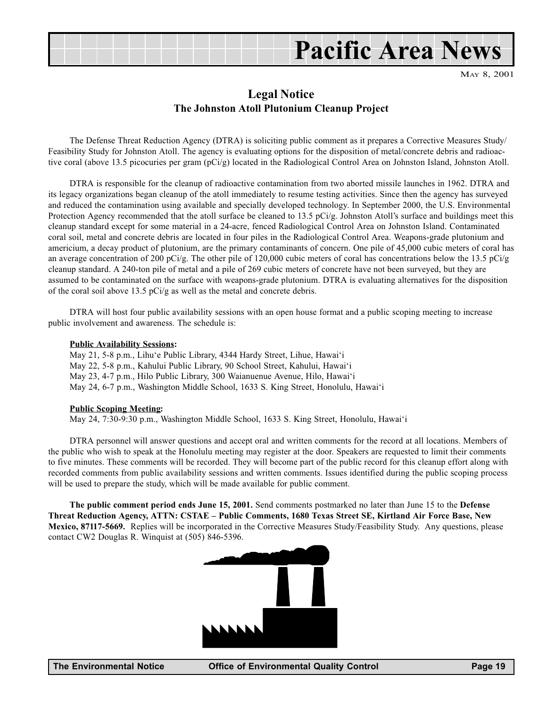

#### Legal Notice The Johnston Atoll Plutonium Cleanup Project

The Defense Threat Reduction Agency (DTRA) is soliciting public comment as it prepares a Corrective Measures Study/ Feasibility Study for Johnston Atoll. The agency is evaluating options for the disposition of metal/concrete debris and radioactive coral (above 13.5 picocuries per gram (pCi/g) located in the Radiological Control Area on Johnston Island, Johnston Atoll.

DTRA is responsible for the cleanup of radioactive contamination from two aborted missile launches in 1962. DTRA and its legacy organizations began cleanup of the atoll immediately to resume testing activities. Since then the agency has surveyed and reduced the contamination using available and specially developed technology. In September 2000, the U.S. Environmental Protection Agency recommended that the atoll surface be cleaned to 13.5 pCi/g. Johnston Atoll's surface and buildings meet this cleanup standard except for some material in a 24-acre, fenced Radiological Control Area on Johnston Island. Contaminated coral soil, metal and concrete debris are located in four piles in the Radiological Control Area. Weapons-grade plutonium and americium, a decay product of plutonium, are the primary contaminants of concern. One pile of 45,000 cubic meters of coral has an average concentration of 200 pCi/g. The other pile of 120,000 cubic meters of coral has concentrations below the 13.5 pCi/g cleanup standard. A 240-ton pile of metal and a pile of 269 cubic meters of concrete have not been surveyed, but they are assumed to be contaminated on the surface with weapons-grade plutonium. DTRA is evaluating alternatives for the disposition of the coral soil above 13.5 pCi/g as well as the metal and concrete debris.

DTRA will host four public availability sessions with an open house format and a public scoping meeting to increase public involvement and awareness. The schedule is:

#### Public Availability Sessions:

May 21, 5-8 p.m., Lihu'e Public Library, 4344 Hardy Street, Lihue, Hawai'i May 22, 5-8 p.m., Kahului Public Library, 90 School Street, Kahului, Hawai'i May 23, 4-7 p.m., Hilo Public Library, 300 Waianuenue Avenue, Hilo, Hawai'i May 24, 6-7 p.m., Washington Middle School, 1633 S. King Street, Honolulu, Hawai'i

#### Public Scoping Meeting:

May 24, 7:30-9:30 p.m., Washington Middle School, 1633 S. King Street, Honolulu, Hawai'i

DTRA personnel will answer questions and accept oral and written comments for the record at all locations. Members of the public who wish to speak at the Honolulu meeting may register at the door. Speakers are requested to limit their comments to five minutes. These comments will be recorded. They will become part of the public record for this cleanup effort along with recorded comments from public availability sessions and written comments. Issues identified during the public scoping process will be used to prepare the study, which will be made available for public comment.

The public comment period ends June 15, 2001. Send comments postmarked no later than June 15 to the Defense Threat Reduction Agency, ATTN: CSTAE Public Comments, 1680 Texas Street SE, Kirtland Air Force Base, New Mexico, 87117-5669. Replies will be incorporated in the Corrective Measures Study/Feasibility Study. Any questions, please contact CW2 Douglas R. Winquist at (505) 846-5396.

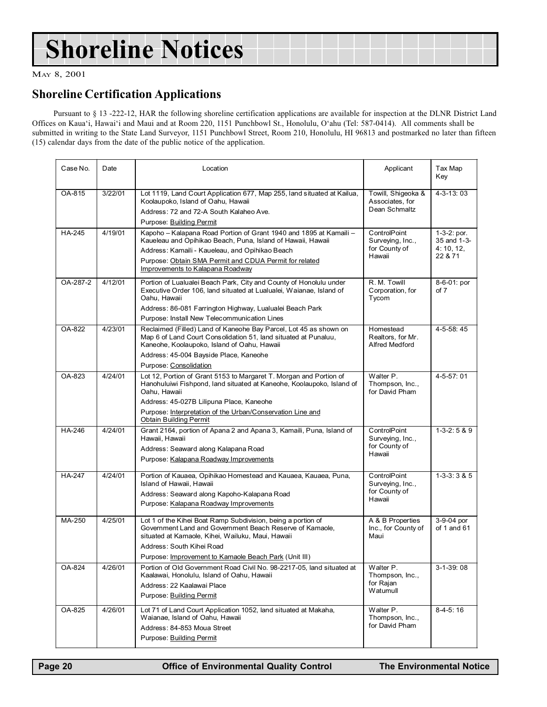## Shoreline Notices

MAY 8, 2001

#### Shoreline Certification Applications

Pursuant to § 13 -222-12, HAR the following shoreline certification applications are available for inspection at the DLNR District Land Offices on Kaua'i, Hawai'i and Maui and at Room 220, 1151 Punchbowl St., Honolulu, O'ahu (Tel: 587-0414). All comments shall be submitted in writing to the State Land Surveyor, 1151 Punchbowl Street, Room 210, Honolulu, HI 96813 and postmarked no later than fifteen (15) calendar days from the date of the public notice of the application.

| Case No.      | Date    | Location                                                                                                                                                                                                                                                                                        | Applicant                                                   | Tax Map<br>Key                                       |
|---------------|---------|-------------------------------------------------------------------------------------------------------------------------------------------------------------------------------------------------------------------------------------------------------------------------------------------------|-------------------------------------------------------------|------------------------------------------------------|
| OA-815        | 3/22/01 | Lot 1119, Land Court Application 677, Map 255, land situated at Kailua,<br>Koolaupoko, Island of Oahu, Hawaii<br>Address: 72 and 72-A South Kalaheo Ave.<br>Purpose: Building Permit                                                                                                            | Towill, Shigeoka &<br>Associates, for<br>Dean Schmaltz      | $4 - 3 - 13$ : 03                                    |
| <b>HA-245</b> | 4/19/01 | Kapoho - Kalapana Road Portion of Grant 1940 and 1895 at Kamaili -<br>Kaueleau and Opihikao Beach, Puna, Island of Hawaii, Hawaii<br>Address: Kamaili - Kaueleau, and Opihikao Beach<br>Purpose: Obtain SMA Permit and CDUA Permit for related<br>Improvements to Kalapana Roadway              | ControlPoint<br>Surveying, Inc.,<br>for County of<br>Hawaii | $1-3-2: por.$<br>35 and 1-3-<br>4:10, 12,<br>22 & 71 |
| OA-287-2      | 4/12/01 | Portion of Lualualei Beach Park, City and County of Honolulu under<br>Executive Order 106, land situated at Lualualei, Waianae, Island of<br>Oahu, Hawaii<br>Address: 86-081 Farrington Highway, Lualualei Beach Park<br>Purpose: Install New Telecommunication Lines                           | R. M. Towill<br>Corporation, for<br>Tycom                   | 8-6-01: por<br>of 7                                  |
| OA-822        | 4/23/01 | Reclaimed (Filled) Land of Kaneohe Bay Parcel, Lot 45 as shown on<br>Map 6 of Land Court Consolidation 51, land situated at Punaluu,<br>Kaneohe, Koolaupoko, Island of Oahu, Hawaii<br>Address: 45-004 Bayside Place, Kaneohe<br>Purpose: Consolidation                                         | Homestead<br>Realtors, for Mr.<br>Alfred Medford            | 4-5-58:45                                            |
| OA-823        | 4/24/01 | Lot 12, Portion of Grant 5153 to Margaret T. Morgan and Portion of<br>Hanohuluiwi Fishpond, land situated at Kaneohe, Koolaupoko, Island of<br>Oahu, Hawaii<br>Address: 45-027B Lilipuna Place, Kaneohe<br>Purpose: Interpretation of the Urban/Conservation Line and<br>Obtain Building Permit | Walter P.<br>Thompson, Inc.,<br>for David Pham              | 4-5-57: 01                                           |
| HA-246        | 4/24/01 | Grant 2164, portion of Apana 2 and Apana 3, Kamaili, Puna, Island of<br>Hawaii, Hawaii<br>Address: Seaward along Kalapana Road<br>Purpose: Kalapana Roadway Improvements                                                                                                                        | ControlPoint<br>Surveying, Inc.,<br>for County of<br>Hawaii | $1-3-2:5 & 9$                                        |
| <b>HA-247</b> | 4/24/01 | Portion of Kauaea, Opihikao Homestead and Kauaea, Kauaea, Puna,<br>Island of Hawaii, Hawaii<br>Address: Seaward along Kapoho-Kalapana Road<br>Purpose: Kalapana Roadway Improvements                                                                                                            | ControlPoint<br>Surveying, Inc.,<br>for County of<br>Hawaii | $1 - 3 - 3:385$                                      |
| MA-250        | 4/25/01 | Lot 1 of the Kihei Boat Ramp Subdivision, being a portion of<br>Government Land and Government Beach Reserve of Kamaole,<br>situated at Kamaole, Kihei, Wailuku, Maui, Hawaii<br>Address: South Kihei Road<br>Purpose: Improvement to Kamaole Beach Park (Unit III)                             | A & B Properties<br>Inc., for County of<br>Maui             | 3-9-04 por<br>of 1 and 61                            |
| OA-824        | 4/26/01 | Portion of Old Government Road Civil No. 98-2217-05, land situated at<br>Kaalawai, Honolulu, Island of Oahu, Hawaii<br>Address: 22 Kaalawai Place<br>Purpose: Building Permit                                                                                                                   | Walter P.<br>Thompson, Inc.,<br>for Rajan<br>Watumull       | 3-1-39:08                                            |
| OA-825        | 4/26/01 | Lot 71 of Land Court Application 1052, land situated at Makaha,<br>Waianae, Island of Oahu, Hawaii<br>Address: 84-853 Moua Street<br>Purpose: Building Permit                                                                                                                                   | Walter P.<br>Thompson, Inc.,<br>for David Pham              | $8-4-5:16$                                           |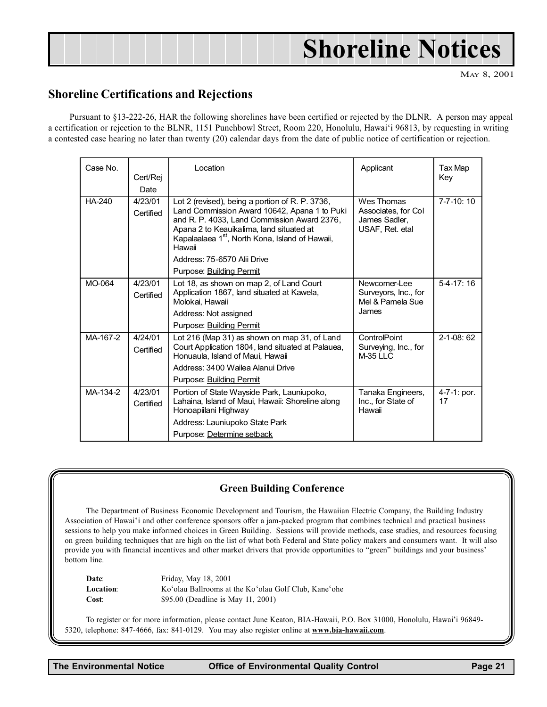## Shoreline Notices

MAY 8, 2001

#### <span id="page-20-0"></span>Shoreline Certifications and Rejections

Pursuant to §13-222-26, HAR the following shorelines have been certified or rejected by the DLNR. A person may appeal a certification or rejection to the BLNR, 1151 Punchbowl Street, Room 220, Honolulu, Hawai'i 96813, by requesting in writing a contested case hearing no later than twenty (20) calendar days from the date of public notice of certification or rejection.

| Case No.      | Cert/Rej<br>Date     | Location                                                                                                                                                                                                                                                            | Applicant                                                             | Tax Map<br>Key       |
|---------------|----------------------|---------------------------------------------------------------------------------------------------------------------------------------------------------------------------------------------------------------------------------------------------------------------|-----------------------------------------------------------------------|----------------------|
| <b>HA-240</b> | 4/23/01<br>Certified | Lot 2 (revised), being a portion of R. P. 3736,<br>Land Commission Award 10642, Apana 1 to Puki<br>and R. P. 4033, Land Commission Award 2376,<br>Apana 2 to Keauikalima, land situated at<br>Kapalaalaea 1 <sup>st</sup> , North Kona, Island of Hawaii,<br>Hawaii | Wes Thomas<br>Associates, for Col<br>James Sadler.<br>USAF, Ret. etal | 7-7-10: 10           |
|               |                      | Address: 75-6570 Alii Drive                                                                                                                                                                                                                                         |                                                                       |                      |
|               |                      | Purpose: Building Permit                                                                                                                                                                                                                                            |                                                                       |                      |
| MO-064        | 4/23/01<br>Certified | Lot 18, as shown on map 2, of Land Court<br>Application 1867, land situated at Kawela,<br>Molokai. Hawaii                                                                                                                                                           | Newcomer-Lee<br>Surveyors, Inc., for<br>Mel & Pamela Sue              | $5-4-17:16$          |
|               |                      | Address: Not assigned                                                                                                                                                                                                                                               | James                                                                 |                      |
|               |                      | Purpose: Building Permit                                                                                                                                                                                                                                            |                                                                       |                      |
| MA-167-2      | 4/24/01<br>Certified | Lot 216 (Map 31) as shown on map 31, of Land<br>Court Application 1804, land situated at Palauea,<br>Honuaula, Island of Maui, Hawaii                                                                                                                               | ControlPoint<br>Surveying, Inc., for<br>$M-35$ LLC                    | $2 - 1 - 08:62$      |
|               |                      | Address: 3400 Wailea Alanui Drive                                                                                                                                                                                                                                   |                                                                       |                      |
|               |                      | Purpose: Building Permit                                                                                                                                                                                                                                            |                                                                       |                      |
| MA-134-2      | 4/23/01<br>Certified | Portion of State Wayside Park, Launiupoko,<br>Lahaina, Island of Maui, Hawaii: Shoreline along<br>Honoapiilani Highway                                                                                                                                              | Tanaka Engineers,<br>Inc., for State of<br>Hawaii                     | $4-7-1$ : por.<br>17 |
|               |                      | Address: Launiupoko State Park                                                                                                                                                                                                                                      |                                                                       |                      |
|               |                      | Purpose: Determine setback                                                                                                                                                                                                                                          |                                                                       |                      |

#### Green Building Conference

The Department of Business Economic Development and Tourism, the Hawaiian Electric Company, the Building Industry Association of Hawai'i and other conference sponsors offer a jam-packed program that combines technical and practical business sessions to help you make informed choices in Green Building. Sessions will provide methods, case studies, and resources focusing on green building techniques that are high on the list of what both Federal and State policy makers and consumers want. It will also provide you with financial incentives and other market drivers that provide opportunities to "green" buildings and your business' bottom line.

Date: Friday, May 18, 2001 Location: Ko'olau Ballrooms at the Ko'olau Golf Club, Kane'ohe Cost: \$95.00 (Deadline is May 11, 2001)

To register or for more information, please contact June Keaton, BIA-Hawaii, P.O. Box 31000, Honolulu, Hawaii 96849- 5320, telephone: 847-4666, fax: 841-0129. You may also register online at www.bia-hawaii.com.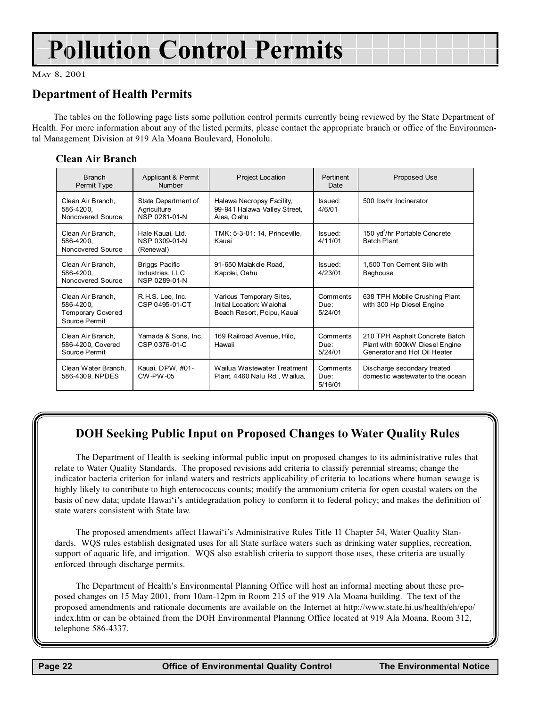## Pollution Control Permits

MAY 8, 2001

#### Department of Health Permits

The tables on the following page lists some pollution control permits currently being reviewed by the State Department of Health. For more information about any of the listed permits, please contact the appropriate branch or office of the Environmental Management Division at 919 Ala Moana Boulevard, Honolulu.

#### Clean Air Branch

| <b>Branch</b><br>Permit Type                                                | Applicant & Permit<br>Number                              | Project Location                                                                    | Pertinent<br>Date           | Proposed Use                                                                                     |
|-----------------------------------------------------------------------------|-----------------------------------------------------------|-------------------------------------------------------------------------------------|-----------------------------|--------------------------------------------------------------------------------------------------|
| Clean Air Branch.<br>586-4200,<br>Noncovered Source                         | State Department of<br>Agriculture<br>NSP 0281-01-N       | Halawa Necropsy Facility,<br>99-941 Halawa Valley Street,<br>Aiea, Oahu             | Issued:<br>4/6/01           | 500 lbs/hr Incinerator                                                                           |
| Clean Air Branch.<br>586-4200.<br>Noncovered Source                         | Hale Kauai, Ltd.<br>NSP 0309-01-N<br>(Renewal)            | TMK: 5-3-01: 14, Princeville,<br>Kauai                                              | Issued:<br>4/11/01          | 150 yd <sup>3</sup> /hr Portable Concrete<br><b>Batch Plant</b>                                  |
| Clean Air Branch.<br>586-4200.<br>Noncovered Source                         | <b>Briggs Pacific</b><br>Industries, LLC<br>NSP 0289-01-N | 91-650 Malakole Road,<br>Kapolei, Oahu                                              | Issued:<br>4/23/01          | 1,500 Ton Cement Silo with<br>Baghouse                                                           |
| Clean Air Branch.<br>586-4200,<br><b>Temporary Covered</b><br>Source Permit | R.H.S. Lee, Inc.<br>CSP 0495-01-CT                        | Various Temporary Sites,<br>Initial Location: Waiohai<br>Beach Resort, Poipu, Kauai | Comments<br>Due:<br>5/24/01 | 638 TPH Mobile Crushing Plant<br>with 300 Hp Diesel Engine                                       |
| Clean Air Branch,<br>586-4200, Covered<br>Source Permit                     | Yamada & Sons, Inc.<br>CSP 0376-01-C                      | 169 Railroad Avenue, Hilo,<br>Hawaii                                                | Comments<br>Due:<br>5/24/01 | 210 TPH Asphalt Concrete Batch<br>Plant with 500kW Diesel Engine<br>Generator and Hot Oil Heater |
| Clean Water Branch,<br>586-4309, NPDES                                      | Kauai, DPW, #01-<br>CW-PW-05                              | Wailua Wastewater Treatment<br>Plant, 4460 Nalu Rd., Wailua,                        | Comments<br>Due:<br>5/16/01 | Discharge secondary treated<br>domestic wastewater to the ocean                                  |

#### DOH Seeking Public Input on Proposed Changes to Water Quality Rules

The Department of Health is seeking informal public input on proposed changes to its administrative rules that relate to Water Quality Standards. The proposed revisions add criteria to classify perennial streams; change the indicator bacteria criterion for inland waters and restricts applicability of criteria to locations where human sewage is highly likely to contribute to high enterococcus counts; modify the ammonium criteria for open coastal waters on the basis of new data; update Hawai'i's antidegradation policy to conform it to federal policy; and makes the definition of state waters consistent with State law.

The proposed amendments affect Hawai'i's Administrative Rules Title 11 Chapter 54, Water Quality Standards. WQS rules establish designated uses for all State surface waters such as drinking water supplies, recreation, support of aquatic life, and irrigation. WQS also establish criteria to support those uses, these criteria are usually enforced through discharge permits.

The Department of Health's Environmental Planning Office will host an informal meeting about these proposed changes on 15 May 2001, from 10am-12pm in Room 215 of the 919 Ala Moana building. The text of the proposed amendments and rationale documents are available on the Internet at http://www.state.hi.us/health/eh/epo/ index.htm or can be obtained from the DOH Environmental Planning Office located at 919 Ala Moana, Room 312, telephone 586-4337.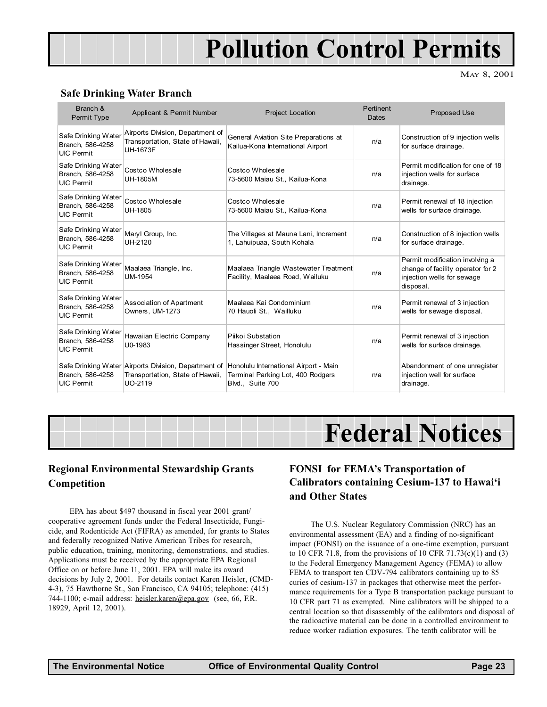## Pollution Control Permits

MAY 8, 2001

#### <span id="page-22-0"></span>Safe Drinking Water Branch

| Branch &<br>Permit Type                                      | Applicant & Permit Number                                                                                  | Project Location                                                                               | Pertinent<br>Dates | <b>Proposed Use</b>                                                                                             |
|--------------------------------------------------------------|------------------------------------------------------------------------------------------------------------|------------------------------------------------------------------------------------------------|--------------------|-----------------------------------------------------------------------------------------------------------------|
| Safe Drinking Water<br>Branch. 586-4258<br><b>UIC Permit</b> | Airports Division, Department of<br>Transportation, State of Hawaii,<br><b>UH-1673F</b>                    | General Aviation Site Preparations at<br>Kailua-Kona International Airport                     | n/a                | Construction of 9 injection wells<br>for surface drainage.                                                      |
| Safe Drinking Water<br>Branch, 586-4258<br><b>UIC Permit</b> | Costco Wholesale<br>UH-1805M                                                                               | Costco Wholesale<br>73-5600 Maiau St., Kailua-Kona                                             | n/a                | Permit modification for one of 18<br>injection wells for surface<br>drainage.                                   |
| Safe Drinking Water<br>Branch, 586-4258<br><b>UIC Permit</b> | Costco Wholesale<br>UH-1805                                                                                | Costco Wholesale<br>73-5600 Maiau St., Kailua-Kona                                             | n/a                | Permit renewal of 18 injection<br>wells for surface drainage.                                                   |
| Safe Drinking Water<br>Branch, 586-4258<br><b>UIC Permit</b> | Maryl Group, Inc.<br>UH-2120                                                                               | The Villages at Mauna Lani, Increment<br>1. Lahuipuaa, South Kohala                            | n/a                | Construction of 8 injection wells<br>for surface drainage.                                                      |
| Safe Drinking Water<br>Branch, 586-4258<br><b>UIC Permit</b> | Maalaea Triangle, Inc.<br><b>UM-1954</b>                                                                   | Maalaea Triangle Wastewater Treatment<br>Facility, Maalaea Road, Wailuku                       | n/a                | Permit modification involving a<br>change of facility operator for 2<br>injection wells for sewage<br>disposal. |
| Safe Drinking Water<br>Branch, 586-4258<br><b>UIC Permit</b> | Association of Apartment<br>Owners, UM-1273                                                                | Maalaea Kai Condominium<br>70 Hauoli St., Wailluku                                             | n/a                | Permit renewal of 3 injection<br>wells for sewage disposal.                                                     |
| Safe Drinking Water<br>Branch, 586-4258<br><b>UIC Permit</b> | Hawaiian Electric Company<br>U0-1983                                                                       | Piikoi Substation<br>Hassinger Street, Honolulu                                                | n/a                | Permit renewal of 3 injection<br>wells for surface drainage.                                                    |
| Branch, 586-4258<br><b>UIC Permit</b>                        | Safe Drinking Water Airports Division, Department of<br>Transportation, State of Hawaii,<br><b>UO-2119</b> | Honolulu International Airport - Main<br>Terminal Parking Lot, 400 Rodgers<br>Blvd., Suite 700 | n/a                | Abandonment of one unregister<br>injection well for surface<br>drainage.                                        |

## Federal Notices

#### Regional Environmental Stewardship Grants Competition

EPA has about \$497 thousand in fiscal year 2001 grant/ cooperative agreement funds under the Federal Insecticide, Fungicide, and Rodenticide Act (FIFRA) as amended, for grants to States and federally recognized Native American Tribes for research, public education, training, monitoring, demonstrations, and studies. Applications must be received by the appropriate EPA Regional Office on or before June 11, 2001. EPA will make its award decisions by July 2, 2001. For details contact Karen Heisler, (CMD-4-3), 75 Hawthorne St., San Francisco, CA 94105; telephone: (415) 744-1100; e-mail address: heisler.karen@epa.gov (see, 66, F.R. 18929, April 12, 2001).

#### FONSI for FEMA's Transportation of Calibrators containing Cesium-137 to Hawai'i and Other States

The U.S. Nuclear Regulatory Commission (NRC) has an environmental assessment (EA) and a finding of no-significant impact (FONSI) on the issuance of a one-time exemption, pursuant to 10 CFR 71.8, from the provisions of 10 CFR 71.73(c)(1) and (3) to the Federal Emergency Management Agency (FEMA) to allow FEMA to transport ten CDV-794 calibrators containing up to 85 curies of cesium-137 in packages that otherwise meet the performance requirements for a Type B transportation package pursuant to 10 CFR part 71 as exempted. Nine calibrators will be shipped to a central location so that disassembly of the calibrators and disposal of the radioactive material can be done in a controlled environment to reduce worker radiation exposures. The tenth calibrator will be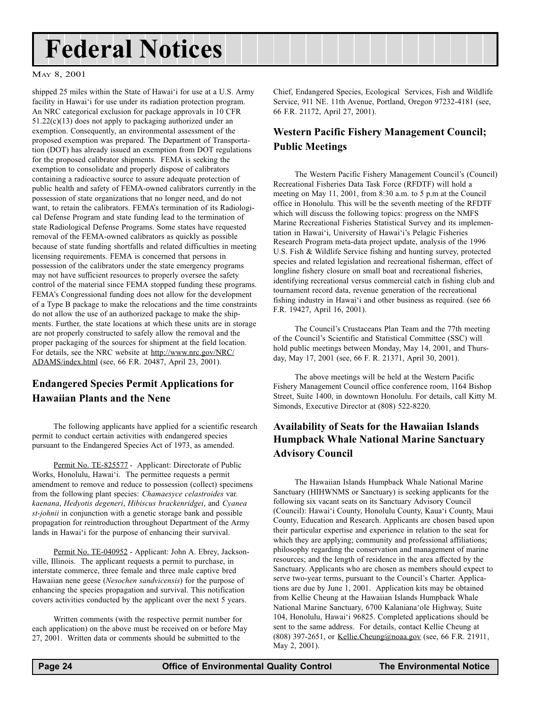## <span id="page-23-0"></span>Federal Notices

#### MAY 8, 2001

shipped 25 miles within the State of Hawai'i for use at a U.S. Army facility in Hawai'i for use under its radiation protection program. An NRC categorical exclusion for package approvals in 10 CFR 51.22(c)(13) does not apply to packaging authorized under an exemption. Consequently, an environmental assessment of the proposed exemption was prepared. The Department of Transportation (DOT) has already issued an exemption from DOT regulations for the proposed calibrator shipments. FEMA is seeking the exemption to consolidate and properly dispose of calibrators containing a radioactive source to assure adequate protection of public health and safety of FEMA-owned calibrators currently in the possession of state organizations that no longer need, and do not want, to retain the calibrators. FEMA's termination of its Radiological Defense Program and state funding lead to the termination of state Radiological Defense Programs. Some states have requested removal of the FEMA-owned calibrators as quickly as possible because of state funding shortfalls and related difficulties in meeting licensing requirements. FEMA is concerned that persons in possession of the calibrators under the state emergency programs may not have sufficient resources to properly oversee the safety control of the material since FEMA stopped funding these programs. FEMA's Congressional funding does not allow for the development of a Type B package to make the relocations and the time constraints do not allow the use of an authorized package to make the shipments. Further, the state locations at which these units are in storage are not properly constructed to safely allow the removal and the proper packaging of the sources for shipment at the field location. For details, see the NRC website at http://www.nrc.gov/NRC/ ADAMS/index.html (see, 66 F.R. 20487, April 23, 2001).

#### Endangered Species Permit Applications for Hawaiian Plants and the Nene

The following applicants have applied for a scientific research permit to conduct certain activities with endangered species pursuant to the Endangered Species Act of 1973, as amended.

Permit No. TE-825577 - Applicant: Directorate of Public Works, Honolulu, Hawai'i. The permittee requests a permit amendment to remove and reduce to possession (collect) specimens from the following plant species: Chamaesyce celastroides var. kaenana, Hedyotis degeneri, Hibiscus brackenridgei, and Cyanea st-johnii in conjunction with a genetic storage bank and possible propagation for reintroduction throughout Department of the Army lands in Hawai'i for the purpose of enhancing their survival.

Permit No. TE-040952 - Applicant: John A. Ebrey, Jacksonville, Illinois. The applicant requests a permit to purchase, in interstate commerce, three female and three male captive bred Hawaiian nene geese (Nesochen sandvicensis) for the purpose of enhancing the species propagation and survival. This notification covers activities conducted by the applicant over the next 5 years.

Written comments (with the respective permit number for each application) on the above must be received on or before May 27, 2001. Written data or comments should be submitted to the

Chief, Endangered Species, Ecological Services, Fish and Wildlife Service, 911 NE. 11th Avenue, Portland, Oregon 97232-4181 (see, 66 F.R. 21172, April 27, 2001).

#### Western Pacific Fishery Management Council; Public Meetings

The Western Pacific Fishery Management Council's (Council) Recreational Fisheries Data Task Force (RFDTF) will hold a meeting on May 11, 2001, from 8:30 a.m. to 5 p.m at the Council office in Honolulu. This will be the seventh meeting of the RFDTF which will discuss the following topics: progress on the NMFS Marine Recreational Fisheries Statistical Survey and its implementation in Hawai'i, University of Hawai'i's Pelagic Fisheries Research Program meta-data project update, analysis of the 1996 U.S. Fish & Wildlife Service fishing and hunting survey, protected species and related legislation and recreational fisherman, effect of longline fishery closure on small boat and recreational fisheries, identifying recreational versus commercial catch in fishing club and tournament record data, revenue generation of the recreational fishing industry in Hawai'i and other business as required. (see 66 F.R. 19427, April 16, 2001).

The Council's Crustaceans Plan Team and the 77th meeting of the Council's Scientific and Statistical Committee (SSC) will hold public meetings between Monday, May 14, 2001, and Thursday, May 17, 2001 (see, 66 F. R. 21371, April 30, 2001).

The above meetings will be held at the Western Pacific Fishery Management Council office conference room, 1164 Bishop Street, Suite 1400, in downtown Honolulu. For details, call Kitty M. Simonds, Executive Director at (808) 522-8220.

#### Availability of Seats for the Hawaiian Islands Humpback Whale National Marine Sanctuary Advisory Council

The Hawaiian Islands Humpback Whale National Marine Sanctuary (HIHWNMS or Sanctuary) is seeking applicants for the following six vacant seats on its Sanctuary Advisory Council (Council): Hawai'i County, Honolulu County, Kaua'i County, Maui County, Education and Research. Applicants are chosen based upon their particular expertise and experience in relation to the seat for which they are applying; community and professional affiliations; philosophy regarding the conservation and management of marine resources; and the length of residence in the area affected by the Sanctuary. Applicants who are chosen as members should expect to serve two-year terms, pursuant to the Council's Charter. Applications are due by June 1, 2001. Application kits may be obtained from Kellie Cheung at the Hawaiian Islands Humpback Whale National Marine Sanctuary, 6700 Kalaniana'ole Highway, Suite 104, Honolulu, Hawai'i 96825. Completed applications should be sent to the same address. For details, contact Kellie Cheung at (808) 397-2651, or Kellie.Cheung@noaa.gov (see, 66 F.R. 21911, May 2, 2001).